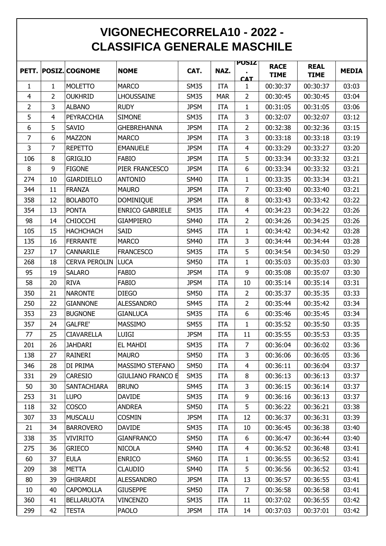## **VIGONECHECORRELA10 - 2022 - CLASSIFICA GENERALE MASCHILE**

|                |                |                      |                          |             |            | <b>POSIZ</b>   | <b>RACE</b> | <b>REAL</b> |              |
|----------------|----------------|----------------------|--------------------------|-------------|------------|----------------|-------------|-------------|--------------|
|                |                | PETT. POSIZ. COGNOME | <b>NOME</b>              | CAT.        | NAZ.       | <b>CAT</b>     | <b>TIME</b> | <b>TIME</b> | <b>MEDIA</b> |
| 1              | $\mathbf{1}$   | <b>MOLETTO</b>       | <b>MARCO</b>             | <b>SM35</b> | <b>ITA</b> | $\mathbf{1}$   | 00:30:37    | 00:30:37    | 03:03        |
| $\overline{4}$ | $\overline{2}$ | <b>OUKHRID</b>       | <b>LHOUSSAINE</b>        | <b>SM35</b> | <b>MAR</b> | $\overline{2}$ | 00:30:45    | 00:30:45    | 03:04        |
| $\overline{2}$ | $\overline{3}$ | <b>ALBANO</b>        | <b>RUDY</b>              | <b>JPSM</b> | <b>ITA</b> | $\mathbf{1}$   | 00:31:05    | 00:31:05    | 03:06        |
| 5              | 4              | PEYRACCHIA           | <b>SIMONE</b>            | <b>SM35</b> | <b>ITA</b> | 3              | 00:32:07    | 00:32:07    | 03:12        |
| 6              | 5              | SAVIO                | <b>GHEBREHANNA</b>       | <b>JPSM</b> | <b>ITA</b> | $\overline{2}$ | 00:32:38    | 00:32:36    | 03:15        |
| $\overline{7}$ | 6              | <b>MAZZON</b>        | <b>MARCO</b>             | <b>JPSM</b> | <b>ITA</b> | $\overline{3}$ | 00:33:18    | 00:33:18    | 03:19        |
| 3              | $\overline{7}$ | <b>REPETTO</b>       | <b>EMANUELE</b>          | <b>JPSM</b> | <b>ITA</b> | 4              | 00:33:29    | 00:33:27    | 03:20        |
| 106            | 8              | <b>GRIGLIO</b>       | <b>FABIO</b>             | <b>JPSM</b> | <b>ITA</b> | 5              | 00:33:34    | 00:33:32    | 03:21        |
| $\bf 8$        | 9              | <b>FIGONE</b>        | PIER FRANCESCO           | <b>JPSM</b> | <b>ITA</b> | 6              | 00:33:34    | 00:33:32    | 03:21        |
| 274            | 10             | <b>GIARDIELLO</b>    | <b>ANTONIO</b>           | <b>SM40</b> | <b>ITA</b> | $\mathbf{1}$   | 00:33:35    | 00:33:34    | 03:21        |
| 344            | 11             | <b>FRANZA</b>        | <b>MAURO</b>             | <b>JPSM</b> | <b>ITA</b> | $\overline{7}$ | 00:33:40    | 00:33:40    | 03:21        |
| 358            | 12             | <b>BOLABOTO</b>      | <b>DOMINIQUE</b>         | <b>JPSM</b> | <b>ITA</b> | 8              | 00:33:43    | 00:33:42    | 03:22        |
| 354            | 13             | <b>PONTA</b>         | <b>ENRICO GABRIELE</b>   | <b>SM35</b> | <b>ITA</b> | 4              | 00:34:23    | 00:34:22    | 03:26        |
| 98             | 14             | <b>CHIOCCHI</b>      | <b>GIAMPIERO</b>         | <b>SM40</b> | <b>ITA</b> | $\overline{2}$ | 00:34:26    | 00:34:25    | 03:26        |
| 105            | 15             | <b>HACHCHACH</b>     | SAID                     | <b>SM45</b> | <b>ITA</b> | $\mathbf{1}$   | 00:34:42    | 00:34:42    | 03:28        |
| 135            | 16             | <b>FERRANTE</b>      | <b>MARCO</b>             | <b>SM40</b> | <b>ITA</b> | 3              | 00:34:44    | 00:34:44    | 03:28        |
| 237            | 17             | CANNARILE            | <b>FRANCESCO</b>         | <b>SM35</b> | <b>ITA</b> | 5              | 00:34:54    | 00:34:50    | 03:29        |
| 268            | 18             | <b>CERVA PEROLIN</b> | <b>LUCA</b>              | <b>SM50</b> | <b>ITA</b> | $\mathbf{1}$   | 00:35:03    | 00:35:03    | 03:30        |
| 95             | 19             | <b>SALARO</b>        | <b>FABIO</b>             | <b>JPSM</b> | <b>ITA</b> | 9              | 00:35:08    | 00:35:07    | 03:30        |
| 58             | 20             | <b>RIVA</b>          | <b>FABIO</b>             | <b>JPSM</b> | <b>ITA</b> | 10             | 00:35:14    | 00:35:14    | 03:31        |
| 350            | 21             | <b>NARONTE</b>       | <b>DIEGO</b>             | <b>SM50</b> | <b>ITA</b> | $\overline{2}$ | 00:35:37    | 00:35:35    | 03:33        |
| 250            | 22             | <b>GIANNONE</b>      | <b>ALESSANDRO</b>        | <b>SM45</b> | <b>ITA</b> | $\overline{2}$ | 00:35:44    | 00:35:42    | 03:34        |
| 353            | 23             | <b>BUGNONE</b>       | <b>GIANLUCA</b>          | <b>SM35</b> | <b>ITA</b> | 6              | 00:35:46    | 00:35:45    | 03:34        |
| 357            | 24             | <b>GALFRE'</b>       | <b>MASSIMO</b>           | <b>SM55</b> | <b>ITA</b> | $\mathbf{1}$   | 00:35:52    | 00:35:50    | 03:35        |
| 77             | 25             | <b>CIAVARELLA</b>    | <b>LUIGI</b>             | <b>JPSM</b> | <b>ITA</b> | 11             | 00:35:55    | 00:35:53    | 03:35        |
| 201            | 26             | <b>JAHDARI</b>       | <b>EL MAHDI</b>          | <b>SM35</b> | <b>ITA</b> | 7              | 00:36:04    | 00:36:02    | 03:36        |
| 138            | 27             | RAINERI              | <b>MAURO</b>             | <b>SM50</b> | <b>ITA</b> | 3              | 00:36:06    | 00:36:05    | 03:36        |
| 346            | 28             | DI PRIMA             | MASSIMO STEFANO          | <b>SM50</b> | <b>ITA</b> | 4              | 00:36:11    | 00:36:04    | 03:37        |
| 331            | 29             | <b>CARESIO</b>       | <b>GIULIANO FRANCO E</b> | <b>SM35</b> | <b>ITA</b> | 8              | 00:36:13    | 00:36:13    | 03:37        |
| 50             | 30             | <b>SANTACHIARA</b>   | <b>BRUNO</b>             | <b>SM45</b> | <b>ITA</b> | 3              | 00:36:15    | 00:36:14    | 03:37        |
| 253            | 31             | <b>LUPO</b>          | <b>DAVIDE</b>            | <b>SM35</b> | <b>ITA</b> | 9              | 00:36:16    | 00:36:13    | 03:37        |
| 118            | 32             | <b>COSCO</b>         | <b>ANDREA</b>            | <b>SM50</b> | <b>ITA</b> | 5              | 00:36:22    | 00:36:21    | 03:38        |
| 307            | 33             | <b>MUSCALU</b>       | <b>COSMIN</b>            | <b>JPSM</b> | <b>ITA</b> | 12             | 00:36:37    | 00:36:31    | 03:39        |
| 21             | 34             | <b>BARROVERO</b>     | <b>DAVIDE</b>            | <b>SM35</b> | <b>ITA</b> | 10             | 00:36:45    | 00:36:38    | 03:40        |
| 338            | 35             | <b>VIVIRITO</b>      | <b>GIANFRANCO</b>        | <b>SM50</b> | <b>ITA</b> | 6              | 00:36:47    | 00:36:44    | 03:40        |
| 275            | 36             | <b>GRIECO</b>        | <b>NICOLA</b>            | <b>SM40</b> | <b>ITA</b> | $\overline{4}$ | 00:36:52    | 00:36:48    | 03:41        |
| 60             | 37             | <b>EULA</b>          | <b>ENRICO</b>            | <b>SM60</b> | <b>ITA</b> | $\mathbf{1}$   | 00:36:55    | 00:36:52    | 03:41        |
| 209            | 38             | <b>METTA</b>         | <b>CLAUDIO</b>           | <b>SM40</b> | <b>ITA</b> | 5              | 00:36:56    | 00:36:52    | 03:41        |
| 80             | 39             | <b>GHIRARDI</b>      | <b>ALESSANDRO</b>        | <b>JPSM</b> | <b>ITA</b> | 13             | 00:36:57    | 00:36:55    | 03:41        |
| 10             | 40             | <b>CAPOMOLLA</b>     | <b>GIUSEPPE</b>          | <b>SM50</b> | <b>ITA</b> | $\overline{7}$ | 00:36:58    | 00:36:58    | 03:41        |
| 360            | 41             | <b>BELLARUOTA</b>    | <b>VINCENZO</b>          | <b>SM35</b> | <b>ITA</b> | 11             | 00:37:02    | 00:36:55    | 03:42        |
| 299            | 42             | <b>TESTA</b>         | <b>PAOLO</b>             | <b>JPSM</b> | <b>ITA</b> | 14             | 00:37:03    | 00:37:01    | 03:42        |
|                |                |                      |                          |             |            |                |             |             |              |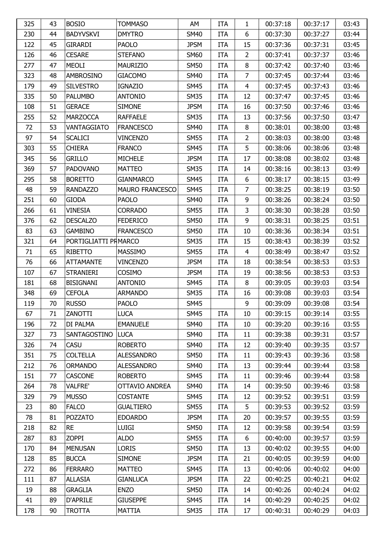| 6<br>44<br><b>BADYVSKVI</b><br>03:44<br>230<br><b>DMYTRO</b><br><b>SM40</b><br><b>ITA</b><br>00:37:30<br>00:37:27<br>122<br>45<br><b>GIRARDI</b><br><b>JPSM</b><br>15<br>03:45<br><b>PAOLO</b><br><b>ITA</b><br>00:37:36<br>00:37:31<br>126<br><b>CESARE</b><br><b>STEFANO</b><br><b>SM60</b><br>$\overline{2}$<br>00:37:41<br>00:37:37<br>03:46<br>46<br><b>ITA</b><br>8<br>47<br>277<br><b>MEOLI</b><br><b>MAURIZIO</b><br><b>SM50</b><br>00:37:42<br>00:37:40<br>03:46<br><b>ITA</b><br>$\overline{7}$<br>323<br>48<br>AMBROSINO<br><b>SM40</b><br><b>ITA</b><br>00:37:45<br>00:37:44<br>03:46<br><b>GIACOMO</b><br>179<br>49<br><b>SILVESTRO</b><br><b>IGNAZIO</b><br><b>SM45</b><br>$\overline{4}$<br>00:37:45<br>00:37:43<br>03:46<br><b>ITA</b><br>12<br>335<br>50<br><b>PALUMBO</b><br><b>ANTONIO</b><br><b>SM35</b><br>00:37:47<br>00:37:45<br>03:46<br><b>ITA</b><br>51<br><b>GERACE</b><br><b>JPSM</b><br>16<br>03:46<br>108<br><b>SIMONE</b><br><b>ITA</b><br>00:37:50<br>00:37:46<br>255<br>52<br><b>MARZOCCA</b><br><b>RAFFAELE</b><br><b>SM35</b><br>13<br>00:37:56<br>00:37:50<br>03:47<br><b>ITA</b><br>8<br>53<br>72<br>VANTAGGIATO<br><b>FRANCESCO</b><br><b>SM40</b><br>00:38:01<br>00:38:00<br>03:48<br><b>ITA</b><br>$\overline{2}$<br>97<br>54<br><b>SCALICI</b><br><b>SM55</b><br>00:38:03<br>03:48<br><b>VINCENZO</b><br><b>ITA</b><br>00:38:00<br>5<br>55<br><b>CHIERA</b><br><b>SM45</b><br>03:48<br>303<br><b>FRANCO</b><br><b>ITA</b><br>00:38:06<br>00:38:06<br>17<br>345<br>56<br><b>GRILLO</b><br><b>MICHELE</b><br><b>JPSM</b><br>00:38:08<br>00:38:02<br>03:48<br><b>ITA</b><br>57<br><b>SM35</b><br>14<br>03:49<br>369<br><b>PADOVANO</b><br><b>MATTEO</b><br><b>ITA</b><br>00:38:16<br>00:38:13<br>58<br><b>SM45</b><br>6<br>03:49<br>295<br><b>BORETTO</b><br><b>GIANMARCO</b><br><b>ITA</b><br>00:38:17<br>00:38:15<br>$\overline{7}$<br>59<br>48<br><b>RANDAZZO</b><br><b>MAURO FRANCESCO</b><br><b>SM45</b><br>00:38:25<br>00:38:19<br>03:50<br><b>ITA</b><br>9<br><b>GIODA</b><br>03:50<br>251<br>60<br><b>PAOLO</b><br><b>SM40</b><br>00:38:26<br>00:38:24<br><b>ITA</b><br>3<br>266<br>61<br><b>VINESIA</b><br><b>CORRADO</b><br><b>SM55</b><br>00:38:30<br>00:38:28<br>03:50<br><b>ITA</b><br>9<br>376<br>62<br><b>DESCALZO</b><br><b>FEDERICO</b><br><b>SM50</b><br>00:38:31<br>00:38:25<br>03:51<br><b>ITA</b><br>63<br>03:51<br>83<br><b>GAMBINO</b><br><b>SM50</b><br>10<br>00:38:36<br>00:38:34<br><b>FRANCESCO</b><br><b>ITA</b><br>321<br>64<br>PORTIGLIATTI PRMARCO<br><b>SM35</b><br>15<br>00:38:43<br>00:38:39<br>03:52<br><b>ITA</b><br>$\overline{4}$<br>65<br>03:52<br>71<br>RIBETTO<br><b>MASSIMO</b><br><b>SM55</b><br><b>ITA</b><br>00:38:49<br>00:38:47<br>03:53<br>76<br>66<br><b>ATTAMANTE</b><br><b>VINCENZO</b><br><b>JPSM</b><br>18<br>00:38:54<br>00:38:53<br><b>ITA</b><br>107<br>67<br><b>STRANIERI</b><br>COSIMO<br><b>JPSM</b><br>19<br>00:38:56<br>00:38:53<br>03:53<br><b>ITA</b><br>8<br>181<br>68<br><b>BISIGNANI</b><br><b>ANTONIO</b><br><b>SM45</b><br>00:39:05<br>00:39:03<br>03:54<br><b>ITA</b><br><b>CEFOLA</b><br>348<br>69<br><b>ARMANDO</b><br><b>SM35</b><br>16<br>00:39:08<br>00:39:03<br>03:54<br><b>ITA</b><br>70<br><b>RUSSO</b><br>9<br><b>PAOLO</b><br><b>SM45</b><br>00:39:09<br>00:39:08<br>03:54<br>119<br><b>LUCA</b><br>10<br>00:39:15<br>00:39:14<br>03:55<br>67<br>71<br>ZANOTTI<br><b>SM45</b><br><b>ITA</b><br>196<br>72<br>DI PALMA<br><b>SM40</b><br>00:39:20<br>00:39:16<br>03:55<br><b>EMANUELE</b><br><b>ITA</b><br>10<br>327<br>73<br>SANTAGOSTINO<br><b>LUCA</b><br>00:39:38<br>00:39:31<br>03:57<br><b>SM40</b><br><b>ITA</b><br>11<br><b>CASU</b><br><b>ROBERTO</b><br>12<br>00:39:40<br>00:39:35<br>326<br>74<br><b>SM40</b><br>03:57<br><b>ITA</b><br>75<br><b>COLTELLA</b><br><b>SM50</b><br>00:39:43<br>00:39:36<br>351<br><b>ALESSANDRO</b><br><b>ITA</b><br>11<br>03:58<br>212<br>76<br><b>ORMANDO</b><br><b>ALESSANDRO</b><br><b>SM40</b><br>13<br>00:39:44<br>00:39:44<br>03:58<br><b>ITA</b><br>77<br>11<br>151<br><b>CASCONE</b><br><b>ROBERTO</b><br><b>SM45</b><br><b>ITA</b><br>00:39:46<br>00:39:44<br>03:58<br><b>SM40</b><br>00:39:50<br>264<br>78<br><b>VALFRE'</b><br>OTTAVIO ANDREA<br><b>ITA</b><br>14<br>00:39:46<br>03:58<br><b>MUSSO</b><br>329<br>79<br><b>COSTANTE</b><br><b>SM45</b><br>12<br>00:39:52<br>00:39:51<br>03:59<br><b>ITA</b><br>5<br>23<br><b>FALCO</b><br>80<br><b>GUALTIERO</b><br><b>SM55</b><br><b>ITA</b><br>00:39:53<br>00:39:52<br>03:59<br>00:39:57<br>00:39:55<br>03:59<br>78<br>81<br><b>POZZATO</b><br><b>EDOARDO</b><br><b>JPSM</b><br><b>ITA</b><br>20<br><b>RE</b><br>218<br>82<br>LUIGI<br><b>SM50</b><br>12<br>00:39:58<br>00:39:54<br>03:59<br><b>ITA</b><br>6<br>83<br><b>ZOPPI</b><br>00:40:00<br>287<br><b>ALDO</b><br><b>SM55</b><br><b>ITA</b><br>00:39:57<br>03:59<br>170<br>84<br><b>MENUSAN</b><br><b>LORIS</b><br><b>SM50</b><br>13<br>00:40:02<br>00:39:55<br>04:00<br><b>ITA</b><br>85<br><b>BUCCA</b><br>21<br>00:39:59<br>04:00<br>128<br><b>SIMONE</b><br><b>JPSM</b><br>00:40:05<br><b>ITA</b><br><b>FERRARO</b><br>13<br>272<br>86<br><b>MATTEO</b><br><b>SM45</b><br><b>ITA</b><br>00:40:06<br>00:40:02<br>04:00<br>00:40:25<br>00:40:21<br>87<br><b>ALLASIA</b><br><b>JPSM</b><br>22<br>04:02<br>111<br><b>GIANLUCA</b><br><b>ITA</b><br>19<br>88<br>14<br><b>GRAGLIA</b><br><b>ENZO</b><br><b>SM50</b><br>00:40:26<br>00:40:24<br>04:02<br><b>ITA</b><br>41<br>89<br>D'APRILE<br><b>GIUSEPPE</b><br><b>SM45</b><br>14<br>00:40:29<br>00:40:25<br>04:02<br><b>ITA</b> | 325 | 43 | <b>BOSIO</b>  | <b>TOMMASO</b> | AM          | <b>ITA</b> | 1  | 00:37:18 | 00:37:17 | 03:43 |
|---------------------------------------------------------------------------------------------------------------------------------------------------------------------------------------------------------------------------------------------------------------------------------------------------------------------------------------------------------------------------------------------------------------------------------------------------------------------------------------------------------------------------------------------------------------------------------------------------------------------------------------------------------------------------------------------------------------------------------------------------------------------------------------------------------------------------------------------------------------------------------------------------------------------------------------------------------------------------------------------------------------------------------------------------------------------------------------------------------------------------------------------------------------------------------------------------------------------------------------------------------------------------------------------------------------------------------------------------------------------------------------------------------------------------------------------------------------------------------------------------------------------------------------------------------------------------------------------------------------------------------------------------------------------------------------------------------------------------------------------------------------------------------------------------------------------------------------------------------------------------------------------------------------------------------------------------------------------------------------------------------------------------------------------------------------------------------------------------------------------------------------------------------------------------------------------------------------------------------------------------------------------------------------------------------------------------------------------------------------------------------------------------------------------------------------------------------------------------------------------------------------------------------------------------------------------------------------------------------------------------------------------------------------------------------------------------------------------------------------------------------------------------------------------------------------------------------------------------------------------------------------------------------------------------------------------------------------------------------------------------------------------------------------------------------------------------------------------------------------------------------------------------------------------------------------------------------------------------------------------------------------------------------------------------------------------------------------------------------------------------------------------------------------------------------------------------------------------------------------------------------------------------------------------------------------------------------------------------------------------------------------------------------------------------------------------------------------------------------------------------------------------------------------------------------------------------------------------------------------------------------------------------------------------------------------------------------------------------------------------------------------------------------------------------------------------------------------------------------------------------------------------------------------------------------------------------------------------------------------------------------------------------------------------------------------------------------------------------------------------------------------------------------------------------------------------------------------------------------------------------------------------------------------------------------------------------------------------------------------------------------------------------------------------------------------------------------------------------------------------------------------------------------------------------------------------------------------------------------------------------------------------------------------------------------------------------------------------------------------------------------------------------------------------------------------------------------------------------------------------------------------------------------------------------------------------------------------------------------------------------------------------------------------------------------------------------------------------------------------------------------------------------------------------------------------------------------------------------------------------------------------------------------------------------------------|-----|----|---------------|----------------|-------------|------------|----|----------|----------|-------|
|                                                                                                                                                                                                                                                                                                                                                                                                                                                                                                                                                                                                                                                                                                                                                                                                                                                                                                                                                                                                                                                                                                                                                                                                                                                                                                                                                                                                                                                                                                                                                                                                                                                                                                                                                                                                                                                                                                                                                                                                                                                                                                                                                                                                                                                                                                                                                                                                                                                                                                                                                                                                                                                                                                                                                                                                                                                                                                                                                                                                                                                                                                                                                                                                                                                                                                                                                                                                                                                                                                                                                                                                                                                                                                                                                                                                                                                                                                                                                                                                                                                                                                                                                                                                                                                                                                                                                                                                                                                                                                                                                                                                                                                                                                                                                                                                                                                                                                                                                                                                                                                                                                                                                                                                                                                                                                                                                                                                                                                                                                                                                               |     |    |               |                |             |            |    |          |          |       |
|                                                                                                                                                                                                                                                                                                                                                                                                                                                                                                                                                                                                                                                                                                                                                                                                                                                                                                                                                                                                                                                                                                                                                                                                                                                                                                                                                                                                                                                                                                                                                                                                                                                                                                                                                                                                                                                                                                                                                                                                                                                                                                                                                                                                                                                                                                                                                                                                                                                                                                                                                                                                                                                                                                                                                                                                                                                                                                                                                                                                                                                                                                                                                                                                                                                                                                                                                                                                                                                                                                                                                                                                                                                                                                                                                                                                                                                                                                                                                                                                                                                                                                                                                                                                                                                                                                                                                                                                                                                                                                                                                                                                                                                                                                                                                                                                                                                                                                                                                                                                                                                                                                                                                                                                                                                                                                                                                                                                                                                                                                                                                               |     |    |               |                |             |            |    |          |          |       |
|                                                                                                                                                                                                                                                                                                                                                                                                                                                                                                                                                                                                                                                                                                                                                                                                                                                                                                                                                                                                                                                                                                                                                                                                                                                                                                                                                                                                                                                                                                                                                                                                                                                                                                                                                                                                                                                                                                                                                                                                                                                                                                                                                                                                                                                                                                                                                                                                                                                                                                                                                                                                                                                                                                                                                                                                                                                                                                                                                                                                                                                                                                                                                                                                                                                                                                                                                                                                                                                                                                                                                                                                                                                                                                                                                                                                                                                                                                                                                                                                                                                                                                                                                                                                                                                                                                                                                                                                                                                                                                                                                                                                                                                                                                                                                                                                                                                                                                                                                                                                                                                                                                                                                                                                                                                                                                                                                                                                                                                                                                                                                               |     |    |               |                |             |            |    |          |          |       |
|                                                                                                                                                                                                                                                                                                                                                                                                                                                                                                                                                                                                                                                                                                                                                                                                                                                                                                                                                                                                                                                                                                                                                                                                                                                                                                                                                                                                                                                                                                                                                                                                                                                                                                                                                                                                                                                                                                                                                                                                                                                                                                                                                                                                                                                                                                                                                                                                                                                                                                                                                                                                                                                                                                                                                                                                                                                                                                                                                                                                                                                                                                                                                                                                                                                                                                                                                                                                                                                                                                                                                                                                                                                                                                                                                                                                                                                                                                                                                                                                                                                                                                                                                                                                                                                                                                                                                                                                                                                                                                                                                                                                                                                                                                                                                                                                                                                                                                                                                                                                                                                                                                                                                                                                                                                                                                                                                                                                                                                                                                                                                               |     |    |               |                |             |            |    |          |          |       |
|                                                                                                                                                                                                                                                                                                                                                                                                                                                                                                                                                                                                                                                                                                                                                                                                                                                                                                                                                                                                                                                                                                                                                                                                                                                                                                                                                                                                                                                                                                                                                                                                                                                                                                                                                                                                                                                                                                                                                                                                                                                                                                                                                                                                                                                                                                                                                                                                                                                                                                                                                                                                                                                                                                                                                                                                                                                                                                                                                                                                                                                                                                                                                                                                                                                                                                                                                                                                                                                                                                                                                                                                                                                                                                                                                                                                                                                                                                                                                                                                                                                                                                                                                                                                                                                                                                                                                                                                                                                                                                                                                                                                                                                                                                                                                                                                                                                                                                                                                                                                                                                                                                                                                                                                                                                                                                                                                                                                                                                                                                                                                               |     |    |               |                |             |            |    |          |          |       |
|                                                                                                                                                                                                                                                                                                                                                                                                                                                                                                                                                                                                                                                                                                                                                                                                                                                                                                                                                                                                                                                                                                                                                                                                                                                                                                                                                                                                                                                                                                                                                                                                                                                                                                                                                                                                                                                                                                                                                                                                                                                                                                                                                                                                                                                                                                                                                                                                                                                                                                                                                                                                                                                                                                                                                                                                                                                                                                                                                                                                                                                                                                                                                                                                                                                                                                                                                                                                                                                                                                                                                                                                                                                                                                                                                                                                                                                                                                                                                                                                                                                                                                                                                                                                                                                                                                                                                                                                                                                                                                                                                                                                                                                                                                                                                                                                                                                                                                                                                                                                                                                                                                                                                                                                                                                                                                                                                                                                                                                                                                                                                               |     |    |               |                |             |            |    |          |          |       |
|                                                                                                                                                                                                                                                                                                                                                                                                                                                                                                                                                                                                                                                                                                                                                                                                                                                                                                                                                                                                                                                                                                                                                                                                                                                                                                                                                                                                                                                                                                                                                                                                                                                                                                                                                                                                                                                                                                                                                                                                                                                                                                                                                                                                                                                                                                                                                                                                                                                                                                                                                                                                                                                                                                                                                                                                                                                                                                                                                                                                                                                                                                                                                                                                                                                                                                                                                                                                                                                                                                                                                                                                                                                                                                                                                                                                                                                                                                                                                                                                                                                                                                                                                                                                                                                                                                                                                                                                                                                                                                                                                                                                                                                                                                                                                                                                                                                                                                                                                                                                                                                                                                                                                                                                                                                                                                                                                                                                                                                                                                                                                               |     |    |               |                |             |            |    |          |          |       |
|                                                                                                                                                                                                                                                                                                                                                                                                                                                                                                                                                                                                                                                                                                                                                                                                                                                                                                                                                                                                                                                                                                                                                                                                                                                                                                                                                                                                                                                                                                                                                                                                                                                                                                                                                                                                                                                                                                                                                                                                                                                                                                                                                                                                                                                                                                                                                                                                                                                                                                                                                                                                                                                                                                                                                                                                                                                                                                                                                                                                                                                                                                                                                                                                                                                                                                                                                                                                                                                                                                                                                                                                                                                                                                                                                                                                                                                                                                                                                                                                                                                                                                                                                                                                                                                                                                                                                                                                                                                                                                                                                                                                                                                                                                                                                                                                                                                                                                                                                                                                                                                                                                                                                                                                                                                                                                                                                                                                                                                                                                                                                               |     |    |               |                |             |            |    |          |          |       |
|                                                                                                                                                                                                                                                                                                                                                                                                                                                                                                                                                                                                                                                                                                                                                                                                                                                                                                                                                                                                                                                                                                                                                                                                                                                                                                                                                                                                                                                                                                                                                                                                                                                                                                                                                                                                                                                                                                                                                                                                                                                                                                                                                                                                                                                                                                                                                                                                                                                                                                                                                                                                                                                                                                                                                                                                                                                                                                                                                                                                                                                                                                                                                                                                                                                                                                                                                                                                                                                                                                                                                                                                                                                                                                                                                                                                                                                                                                                                                                                                                                                                                                                                                                                                                                                                                                                                                                                                                                                                                                                                                                                                                                                                                                                                                                                                                                                                                                                                                                                                                                                                                                                                                                                                                                                                                                                                                                                                                                                                                                                                                               |     |    |               |                |             |            |    |          |          |       |
|                                                                                                                                                                                                                                                                                                                                                                                                                                                                                                                                                                                                                                                                                                                                                                                                                                                                                                                                                                                                                                                                                                                                                                                                                                                                                                                                                                                                                                                                                                                                                                                                                                                                                                                                                                                                                                                                                                                                                                                                                                                                                                                                                                                                                                                                                                                                                                                                                                                                                                                                                                                                                                                                                                                                                                                                                                                                                                                                                                                                                                                                                                                                                                                                                                                                                                                                                                                                                                                                                                                                                                                                                                                                                                                                                                                                                                                                                                                                                                                                                                                                                                                                                                                                                                                                                                                                                                                                                                                                                                                                                                                                                                                                                                                                                                                                                                                                                                                                                                                                                                                                                                                                                                                                                                                                                                                                                                                                                                                                                                                                                               |     |    |               |                |             |            |    |          |          |       |
|                                                                                                                                                                                                                                                                                                                                                                                                                                                                                                                                                                                                                                                                                                                                                                                                                                                                                                                                                                                                                                                                                                                                                                                                                                                                                                                                                                                                                                                                                                                                                                                                                                                                                                                                                                                                                                                                                                                                                                                                                                                                                                                                                                                                                                                                                                                                                                                                                                                                                                                                                                                                                                                                                                                                                                                                                                                                                                                                                                                                                                                                                                                                                                                                                                                                                                                                                                                                                                                                                                                                                                                                                                                                                                                                                                                                                                                                                                                                                                                                                                                                                                                                                                                                                                                                                                                                                                                                                                                                                                                                                                                                                                                                                                                                                                                                                                                                                                                                                                                                                                                                                                                                                                                                                                                                                                                                                                                                                                                                                                                                                               |     |    |               |                |             |            |    |          |          |       |
|                                                                                                                                                                                                                                                                                                                                                                                                                                                                                                                                                                                                                                                                                                                                                                                                                                                                                                                                                                                                                                                                                                                                                                                                                                                                                                                                                                                                                                                                                                                                                                                                                                                                                                                                                                                                                                                                                                                                                                                                                                                                                                                                                                                                                                                                                                                                                                                                                                                                                                                                                                                                                                                                                                                                                                                                                                                                                                                                                                                                                                                                                                                                                                                                                                                                                                                                                                                                                                                                                                                                                                                                                                                                                                                                                                                                                                                                                                                                                                                                                                                                                                                                                                                                                                                                                                                                                                                                                                                                                                                                                                                                                                                                                                                                                                                                                                                                                                                                                                                                                                                                                                                                                                                                                                                                                                                                                                                                                                                                                                                                                               |     |    |               |                |             |            |    |          |          |       |
|                                                                                                                                                                                                                                                                                                                                                                                                                                                                                                                                                                                                                                                                                                                                                                                                                                                                                                                                                                                                                                                                                                                                                                                                                                                                                                                                                                                                                                                                                                                                                                                                                                                                                                                                                                                                                                                                                                                                                                                                                                                                                                                                                                                                                                                                                                                                                                                                                                                                                                                                                                                                                                                                                                                                                                                                                                                                                                                                                                                                                                                                                                                                                                                                                                                                                                                                                                                                                                                                                                                                                                                                                                                                                                                                                                                                                                                                                                                                                                                                                                                                                                                                                                                                                                                                                                                                                                                                                                                                                                                                                                                                                                                                                                                                                                                                                                                                                                                                                                                                                                                                                                                                                                                                                                                                                                                                                                                                                                                                                                                                                               |     |    |               |                |             |            |    |          |          |       |
|                                                                                                                                                                                                                                                                                                                                                                                                                                                                                                                                                                                                                                                                                                                                                                                                                                                                                                                                                                                                                                                                                                                                                                                                                                                                                                                                                                                                                                                                                                                                                                                                                                                                                                                                                                                                                                                                                                                                                                                                                                                                                                                                                                                                                                                                                                                                                                                                                                                                                                                                                                                                                                                                                                                                                                                                                                                                                                                                                                                                                                                                                                                                                                                                                                                                                                                                                                                                                                                                                                                                                                                                                                                                                                                                                                                                                                                                                                                                                                                                                                                                                                                                                                                                                                                                                                                                                                                                                                                                                                                                                                                                                                                                                                                                                                                                                                                                                                                                                                                                                                                                                                                                                                                                                                                                                                                                                                                                                                                                                                                                                               |     |    |               |                |             |            |    |          |          |       |
|                                                                                                                                                                                                                                                                                                                                                                                                                                                                                                                                                                                                                                                                                                                                                                                                                                                                                                                                                                                                                                                                                                                                                                                                                                                                                                                                                                                                                                                                                                                                                                                                                                                                                                                                                                                                                                                                                                                                                                                                                                                                                                                                                                                                                                                                                                                                                                                                                                                                                                                                                                                                                                                                                                                                                                                                                                                                                                                                                                                                                                                                                                                                                                                                                                                                                                                                                                                                                                                                                                                                                                                                                                                                                                                                                                                                                                                                                                                                                                                                                                                                                                                                                                                                                                                                                                                                                                                                                                                                                                                                                                                                                                                                                                                                                                                                                                                                                                                                                                                                                                                                                                                                                                                                                                                                                                                                                                                                                                                                                                                                                               |     |    |               |                |             |            |    |          |          |       |
|                                                                                                                                                                                                                                                                                                                                                                                                                                                                                                                                                                                                                                                                                                                                                                                                                                                                                                                                                                                                                                                                                                                                                                                                                                                                                                                                                                                                                                                                                                                                                                                                                                                                                                                                                                                                                                                                                                                                                                                                                                                                                                                                                                                                                                                                                                                                                                                                                                                                                                                                                                                                                                                                                                                                                                                                                                                                                                                                                                                                                                                                                                                                                                                                                                                                                                                                                                                                                                                                                                                                                                                                                                                                                                                                                                                                                                                                                                                                                                                                                                                                                                                                                                                                                                                                                                                                                                                                                                                                                                                                                                                                                                                                                                                                                                                                                                                                                                                                                                                                                                                                                                                                                                                                                                                                                                                                                                                                                                                                                                                                                               |     |    |               |                |             |            |    |          |          |       |
|                                                                                                                                                                                                                                                                                                                                                                                                                                                                                                                                                                                                                                                                                                                                                                                                                                                                                                                                                                                                                                                                                                                                                                                                                                                                                                                                                                                                                                                                                                                                                                                                                                                                                                                                                                                                                                                                                                                                                                                                                                                                                                                                                                                                                                                                                                                                                                                                                                                                                                                                                                                                                                                                                                                                                                                                                                                                                                                                                                                                                                                                                                                                                                                                                                                                                                                                                                                                                                                                                                                                                                                                                                                                                                                                                                                                                                                                                                                                                                                                                                                                                                                                                                                                                                                                                                                                                                                                                                                                                                                                                                                                                                                                                                                                                                                                                                                                                                                                                                                                                                                                                                                                                                                                                                                                                                                                                                                                                                                                                                                                                               |     |    |               |                |             |            |    |          |          |       |
|                                                                                                                                                                                                                                                                                                                                                                                                                                                                                                                                                                                                                                                                                                                                                                                                                                                                                                                                                                                                                                                                                                                                                                                                                                                                                                                                                                                                                                                                                                                                                                                                                                                                                                                                                                                                                                                                                                                                                                                                                                                                                                                                                                                                                                                                                                                                                                                                                                                                                                                                                                                                                                                                                                                                                                                                                                                                                                                                                                                                                                                                                                                                                                                                                                                                                                                                                                                                                                                                                                                                                                                                                                                                                                                                                                                                                                                                                                                                                                                                                                                                                                                                                                                                                                                                                                                                                                                                                                                                                                                                                                                                                                                                                                                                                                                                                                                                                                                                                                                                                                                                                                                                                                                                                                                                                                                                                                                                                                                                                                                                                               |     |    |               |                |             |            |    |          |          |       |
|                                                                                                                                                                                                                                                                                                                                                                                                                                                                                                                                                                                                                                                                                                                                                                                                                                                                                                                                                                                                                                                                                                                                                                                                                                                                                                                                                                                                                                                                                                                                                                                                                                                                                                                                                                                                                                                                                                                                                                                                                                                                                                                                                                                                                                                                                                                                                                                                                                                                                                                                                                                                                                                                                                                                                                                                                                                                                                                                                                                                                                                                                                                                                                                                                                                                                                                                                                                                                                                                                                                                                                                                                                                                                                                                                                                                                                                                                                                                                                                                                                                                                                                                                                                                                                                                                                                                                                                                                                                                                                                                                                                                                                                                                                                                                                                                                                                                                                                                                                                                                                                                                                                                                                                                                                                                                                                                                                                                                                                                                                                                                               |     |    |               |                |             |            |    |          |          |       |
|                                                                                                                                                                                                                                                                                                                                                                                                                                                                                                                                                                                                                                                                                                                                                                                                                                                                                                                                                                                                                                                                                                                                                                                                                                                                                                                                                                                                                                                                                                                                                                                                                                                                                                                                                                                                                                                                                                                                                                                                                                                                                                                                                                                                                                                                                                                                                                                                                                                                                                                                                                                                                                                                                                                                                                                                                                                                                                                                                                                                                                                                                                                                                                                                                                                                                                                                                                                                                                                                                                                                                                                                                                                                                                                                                                                                                                                                                                                                                                                                                                                                                                                                                                                                                                                                                                                                                                                                                                                                                                                                                                                                                                                                                                                                                                                                                                                                                                                                                                                                                                                                                                                                                                                                                                                                                                                                                                                                                                                                                                                                                               |     |    |               |                |             |            |    |          |          |       |
|                                                                                                                                                                                                                                                                                                                                                                                                                                                                                                                                                                                                                                                                                                                                                                                                                                                                                                                                                                                                                                                                                                                                                                                                                                                                                                                                                                                                                                                                                                                                                                                                                                                                                                                                                                                                                                                                                                                                                                                                                                                                                                                                                                                                                                                                                                                                                                                                                                                                                                                                                                                                                                                                                                                                                                                                                                                                                                                                                                                                                                                                                                                                                                                                                                                                                                                                                                                                                                                                                                                                                                                                                                                                                                                                                                                                                                                                                                                                                                                                                                                                                                                                                                                                                                                                                                                                                                                                                                                                                                                                                                                                                                                                                                                                                                                                                                                                                                                                                                                                                                                                                                                                                                                                                                                                                                                                                                                                                                                                                                                                                               |     |    |               |                |             |            |    |          |          |       |
|                                                                                                                                                                                                                                                                                                                                                                                                                                                                                                                                                                                                                                                                                                                                                                                                                                                                                                                                                                                                                                                                                                                                                                                                                                                                                                                                                                                                                                                                                                                                                                                                                                                                                                                                                                                                                                                                                                                                                                                                                                                                                                                                                                                                                                                                                                                                                                                                                                                                                                                                                                                                                                                                                                                                                                                                                                                                                                                                                                                                                                                                                                                                                                                                                                                                                                                                                                                                                                                                                                                                                                                                                                                                                                                                                                                                                                                                                                                                                                                                                                                                                                                                                                                                                                                                                                                                                                                                                                                                                                                                                                                                                                                                                                                                                                                                                                                                                                                                                                                                                                                                                                                                                                                                                                                                                                                                                                                                                                                                                                                                                               |     |    |               |                |             |            |    |          |          |       |
|                                                                                                                                                                                                                                                                                                                                                                                                                                                                                                                                                                                                                                                                                                                                                                                                                                                                                                                                                                                                                                                                                                                                                                                                                                                                                                                                                                                                                                                                                                                                                                                                                                                                                                                                                                                                                                                                                                                                                                                                                                                                                                                                                                                                                                                                                                                                                                                                                                                                                                                                                                                                                                                                                                                                                                                                                                                                                                                                                                                                                                                                                                                                                                                                                                                                                                                                                                                                                                                                                                                                                                                                                                                                                                                                                                                                                                                                                                                                                                                                                                                                                                                                                                                                                                                                                                                                                                                                                                                                                                                                                                                                                                                                                                                                                                                                                                                                                                                                                                                                                                                                                                                                                                                                                                                                                                                                                                                                                                                                                                                                                               |     |    |               |                |             |            |    |          |          |       |
|                                                                                                                                                                                                                                                                                                                                                                                                                                                                                                                                                                                                                                                                                                                                                                                                                                                                                                                                                                                                                                                                                                                                                                                                                                                                                                                                                                                                                                                                                                                                                                                                                                                                                                                                                                                                                                                                                                                                                                                                                                                                                                                                                                                                                                                                                                                                                                                                                                                                                                                                                                                                                                                                                                                                                                                                                                                                                                                                                                                                                                                                                                                                                                                                                                                                                                                                                                                                                                                                                                                                                                                                                                                                                                                                                                                                                                                                                                                                                                                                                                                                                                                                                                                                                                                                                                                                                                                                                                                                                                                                                                                                                                                                                                                                                                                                                                                                                                                                                                                                                                                                                                                                                                                                                                                                                                                                                                                                                                                                                                                                                               |     |    |               |                |             |            |    |          |          |       |
|                                                                                                                                                                                                                                                                                                                                                                                                                                                                                                                                                                                                                                                                                                                                                                                                                                                                                                                                                                                                                                                                                                                                                                                                                                                                                                                                                                                                                                                                                                                                                                                                                                                                                                                                                                                                                                                                                                                                                                                                                                                                                                                                                                                                                                                                                                                                                                                                                                                                                                                                                                                                                                                                                                                                                                                                                                                                                                                                                                                                                                                                                                                                                                                                                                                                                                                                                                                                                                                                                                                                                                                                                                                                                                                                                                                                                                                                                                                                                                                                                                                                                                                                                                                                                                                                                                                                                                                                                                                                                                                                                                                                                                                                                                                                                                                                                                                                                                                                                                                                                                                                                                                                                                                                                                                                                                                                                                                                                                                                                                                                                               |     |    |               |                |             |            |    |          |          |       |
|                                                                                                                                                                                                                                                                                                                                                                                                                                                                                                                                                                                                                                                                                                                                                                                                                                                                                                                                                                                                                                                                                                                                                                                                                                                                                                                                                                                                                                                                                                                                                                                                                                                                                                                                                                                                                                                                                                                                                                                                                                                                                                                                                                                                                                                                                                                                                                                                                                                                                                                                                                                                                                                                                                                                                                                                                                                                                                                                                                                                                                                                                                                                                                                                                                                                                                                                                                                                                                                                                                                                                                                                                                                                                                                                                                                                                                                                                                                                                                                                                                                                                                                                                                                                                                                                                                                                                                                                                                                                                                                                                                                                                                                                                                                                                                                                                                                                                                                                                                                                                                                                                                                                                                                                                                                                                                                                                                                                                                                                                                                                                               |     |    |               |                |             |            |    |          |          |       |
|                                                                                                                                                                                                                                                                                                                                                                                                                                                                                                                                                                                                                                                                                                                                                                                                                                                                                                                                                                                                                                                                                                                                                                                                                                                                                                                                                                                                                                                                                                                                                                                                                                                                                                                                                                                                                                                                                                                                                                                                                                                                                                                                                                                                                                                                                                                                                                                                                                                                                                                                                                                                                                                                                                                                                                                                                                                                                                                                                                                                                                                                                                                                                                                                                                                                                                                                                                                                                                                                                                                                                                                                                                                                                                                                                                                                                                                                                                                                                                                                                                                                                                                                                                                                                                                                                                                                                                                                                                                                                                                                                                                                                                                                                                                                                                                                                                                                                                                                                                                                                                                                                                                                                                                                                                                                                                                                                                                                                                                                                                                                                               |     |    |               |                |             |            |    |          |          |       |
|                                                                                                                                                                                                                                                                                                                                                                                                                                                                                                                                                                                                                                                                                                                                                                                                                                                                                                                                                                                                                                                                                                                                                                                                                                                                                                                                                                                                                                                                                                                                                                                                                                                                                                                                                                                                                                                                                                                                                                                                                                                                                                                                                                                                                                                                                                                                                                                                                                                                                                                                                                                                                                                                                                                                                                                                                                                                                                                                                                                                                                                                                                                                                                                                                                                                                                                                                                                                                                                                                                                                                                                                                                                                                                                                                                                                                                                                                                                                                                                                                                                                                                                                                                                                                                                                                                                                                                                                                                                                                                                                                                                                                                                                                                                                                                                                                                                                                                                                                                                                                                                                                                                                                                                                                                                                                                                                                                                                                                                                                                                                                               |     |    |               |                |             |            |    |          |          |       |
|                                                                                                                                                                                                                                                                                                                                                                                                                                                                                                                                                                                                                                                                                                                                                                                                                                                                                                                                                                                                                                                                                                                                                                                                                                                                                                                                                                                                                                                                                                                                                                                                                                                                                                                                                                                                                                                                                                                                                                                                                                                                                                                                                                                                                                                                                                                                                                                                                                                                                                                                                                                                                                                                                                                                                                                                                                                                                                                                                                                                                                                                                                                                                                                                                                                                                                                                                                                                                                                                                                                                                                                                                                                                                                                                                                                                                                                                                                                                                                                                                                                                                                                                                                                                                                                                                                                                                                                                                                                                                                                                                                                                                                                                                                                                                                                                                                                                                                                                                                                                                                                                                                                                                                                                                                                                                                                                                                                                                                                                                                                                                               |     |    |               |                |             |            |    |          |          |       |
|                                                                                                                                                                                                                                                                                                                                                                                                                                                                                                                                                                                                                                                                                                                                                                                                                                                                                                                                                                                                                                                                                                                                                                                                                                                                                                                                                                                                                                                                                                                                                                                                                                                                                                                                                                                                                                                                                                                                                                                                                                                                                                                                                                                                                                                                                                                                                                                                                                                                                                                                                                                                                                                                                                                                                                                                                                                                                                                                                                                                                                                                                                                                                                                                                                                                                                                                                                                                                                                                                                                                                                                                                                                                                                                                                                                                                                                                                                                                                                                                                                                                                                                                                                                                                                                                                                                                                                                                                                                                                                                                                                                                                                                                                                                                                                                                                                                                                                                                                                                                                                                                                                                                                                                                                                                                                                                                                                                                                                                                                                                                                               |     |    |               |                |             |            |    |          |          |       |
|                                                                                                                                                                                                                                                                                                                                                                                                                                                                                                                                                                                                                                                                                                                                                                                                                                                                                                                                                                                                                                                                                                                                                                                                                                                                                                                                                                                                                                                                                                                                                                                                                                                                                                                                                                                                                                                                                                                                                                                                                                                                                                                                                                                                                                                                                                                                                                                                                                                                                                                                                                                                                                                                                                                                                                                                                                                                                                                                                                                                                                                                                                                                                                                                                                                                                                                                                                                                                                                                                                                                                                                                                                                                                                                                                                                                                                                                                                                                                                                                                                                                                                                                                                                                                                                                                                                                                                                                                                                                                                                                                                                                                                                                                                                                                                                                                                                                                                                                                                                                                                                                                                                                                                                                                                                                                                                                                                                                                                                                                                                                                               |     |    |               |                |             |            |    |          |          |       |
|                                                                                                                                                                                                                                                                                                                                                                                                                                                                                                                                                                                                                                                                                                                                                                                                                                                                                                                                                                                                                                                                                                                                                                                                                                                                                                                                                                                                                                                                                                                                                                                                                                                                                                                                                                                                                                                                                                                                                                                                                                                                                                                                                                                                                                                                                                                                                                                                                                                                                                                                                                                                                                                                                                                                                                                                                                                                                                                                                                                                                                                                                                                                                                                                                                                                                                                                                                                                                                                                                                                                                                                                                                                                                                                                                                                                                                                                                                                                                                                                                                                                                                                                                                                                                                                                                                                                                                                                                                                                                                                                                                                                                                                                                                                                                                                                                                                                                                                                                                                                                                                                                                                                                                                                                                                                                                                                                                                                                                                                                                                                                               |     |    |               |                |             |            |    |          |          |       |
|                                                                                                                                                                                                                                                                                                                                                                                                                                                                                                                                                                                                                                                                                                                                                                                                                                                                                                                                                                                                                                                                                                                                                                                                                                                                                                                                                                                                                                                                                                                                                                                                                                                                                                                                                                                                                                                                                                                                                                                                                                                                                                                                                                                                                                                                                                                                                                                                                                                                                                                                                                                                                                                                                                                                                                                                                                                                                                                                                                                                                                                                                                                                                                                                                                                                                                                                                                                                                                                                                                                                                                                                                                                                                                                                                                                                                                                                                                                                                                                                                                                                                                                                                                                                                                                                                                                                                                                                                                                                                                                                                                                                                                                                                                                                                                                                                                                                                                                                                                                                                                                                                                                                                                                                                                                                                                                                                                                                                                                                                                                                                               |     |    |               |                |             |            |    |          |          |       |
|                                                                                                                                                                                                                                                                                                                                                                                                                                                                                                                                                                                                                                                                                                                                                                                                                                                                                                                                                                                                                                                                                                                                                                                                                                                                                                                                                                                                                                                                                                                                                                                                                                                                                                                                                                                                                                                                                                                                                                                                                                                                                                                                                                                                                                                                                                                                                                                                                                                                                                                                                                                                                                                                                                                                                                                                                                                                                                                                                                                                                                                                                                                                                                                                                                                                                                                                                                                                                                                                                                                                                                                                                                                                                                                                                                                                                                                                                                                                                                                                                                                                                                                                                                                                                                                                                                                                                                                                                                                                                                                                                                                                                                                                                                                                                                                                                                                                                                                                                                                                                                                                                                                                                                                                                                                                                                                                                                                                                                                                                                                                                               |     |    |               |                |             |            |    |          |          |       |
|                                                                                                                                                                                                                                                                                                                                                                                                                                                                                                                                                                                                                                                                                                                                                                                                                                                                                                                                                                                                                                                                                                                                                                                                                                                                                                                                                                                                                                                                                                                                                                                                                                                                                                                                                                                                                                                                                                                                                                                                                                                                                                                                                                                                                                                                                                                                                                                                                                                                                                                                                                                                                                                                                                                                                                                                                                                                                                                                                                                                                                                                                                                                                                                                                                                                                                                                                                                                                                                                                                                                                                                                                                                                                                                                                                                                                                                                                                                                                                                                                                                                                                                                                                                                                                                                                                                                                                                                                                                                                                                                                                                                                                                                                                                                                                                                                                                                                                                                                                                                                                                                                                                                                                                                                                                                                                                                                                                                                                                                                                                                                               |     |    |               |                |             |            |    |          |          |       |
|                                                                                                                                                                                                                                                                                                                                                                                                                                                                                                                                                                                                                                                                                                                                                                                                                                                                                                                                                                                                                                                                                                                                                                                                                                                                                                                                                                                                                                                                                                                                                                                                                                                                                                                                                                                                                                                                                                                                                                                                                                                                                                                                                                                                                                                                                                                                                                                                                                                                                                                                                                                                                                                                                                                                                                                                                                                                                                                                                                                                                                                                                                                                                                                                                                                                                                                                                                                                                                                                                                                                                                                                                                                                                                                                                                                                                                                                                                                                                                                                                                                                                                                                                                                                                                                                                                                                                                                                                                                                                                                                                                                                                                                                                                                                                                                                                                                                                                                                                                                                                                                                                                                                                                                                                                                                                                                                                                                                                                                                                                                                                               |     |    |               |                |             |            |    |          |          |       |
|                                                                                                                                                                                                                                                                                                                                                                                                                                                                                                                                                                                                                                                                                                                                                                                                                                                                                                                                                                                                                                                                                                                                                                                                                                                                                                                                                                                                                                                                                                                                                                                                                                                                                                                                                                                                                                                                                                                                                                                                                                                                                                                                                                                                                                                                                                                                                                                                                                                                                                                                                                                                                                                                                                                                                                                                                                                                                                                                                                                                                                                                                                                                                                                                                                                                                                                                                                                                                                                                                                                                                                                                                                                                                                                                                                                                                                                                                                                                                                                                                                                                                                                                                                                                                                                                                                                                                                                                                                                                                                                                                                                                                                                                                                                                                                                                                                                                                                                                                                                                                                                                                                                                                                                                                                                                                                                                                                                                                                                                                                                                                               |     |    |               |                |             |            |    |          |          |       |
|                                                                                                                                                                                                                                                                                                                                                                                                                                                                                                                                                                                                                                                                                                                                                                                                                                                                                                                                                                                                                                                                                                                                                                                                                                                                                                                                                                                                                                                                                                                                                                                                                                                                                                                                                                                                                                                                                                                                                                                                                                                                                                                                                                                                                                                                                                                                                                                                                                                                                                                                                                                                                                                                                                                                                                                                                                                                                                                                                                                                                                                                                                                                                                                                                                                                                                                                                                                                                                                                                                                                                                                                                                                                                                                                                                                                                                                                                                                                                                                                                                                                                                                                                                                                                                                                                                                                                                                                                                                                                                                                                                                                                                                                                                                                                                                                                                                                                                                                                                                                                                                                                                                                                                                                                                                                                                                                                                                                                                                                                                                                                               |     |    |               |                |             |            |    |          |          |       |
|                                                                                                                                                                                                                                                                                                                                                                                                                                                                                                                                                                                                                                                                                                                                                                                                                                                                                                                                                                                                                                                                                                                                                                                                                                                                                                                                                                                                                                                                                                                                                                                                                                                                                                                                                                                                                                                                                                                                                                                                                                                                                                                                                                                                                                                                                                                                                                                                                                                                                                                                                                                                                                                                                                                                                                                                                                                                                                                                                                                                                                                                                                                                                                                                                                                                                                                                                                                                                                                                                                                                                                                                                                                                                                                                                                                                                                                                                                                                                                                                                                                                                                                                                                                                                                                                                                                                                                                                                                                                                                                                                                                                                                                                                                                                                                                                                                                                                                                                                                                                                                                                                                                                                                                                                                                                                                                                                                                                                                                                                                                                                               |     |    |               |                |             |            |    |          |          |       |
|                                                                                                                                                                                                                                                                                                                                                                                                                                                                                                                                                                                                                                                                                                                                                                                                                                                                                                                                                                                                                                                                                                                                                                                                                                                                                                                                                                                                                                                                                                                                                                                                                                                                                                                                                                                                                                                                                                                                                                                                                                                                                                                                                                                                                                                                                                                                                                                                                                                                                                                                                                                                                                                                                                                                                                                                                                                                                                                                                                                                                                                                                                                                                                                                                                                                                                                                                                                                                                                                                                                                                                                                                                                                                                                                                                                                                                                                                                                                                                                                                                                                                                                                                                                                                                                                                                                                                                                                                                                                                                                                                                                                                                                                                                                                                                                                                                                                                                                                                                                                                                                                                                                                                                                                                                                                                                                                                                                                                                                                                                                                                               |     |    |               |                |             |            |    |          |          |       |
|                                                                                                                                                                                                                                                                                                                                                                                                                                                                                                                                                                                                                                                                                                                                                                                                                                                                                                                                                                                                                                                                                                                                                                                                                                                                                                                                                                                                                                                                                                                                                                                                                                                                                                                                                                                                                                                                                                                                                                                                                                                                                                                                                                                                                                                                                                                                                                                                                                                                                                                                                                                                                                                                                                                                                                                                                                                                                                                                                                                                                                                                                                                                                                                                                                                                                                                                                                                                                                                                                                                                                                                                                                                                                                                                                                                                                                                                                                                                                                                                                                                                                                                                                                                                                                                                                                                                                                                                                                                                                                                                                                                                                                                                                                                                                                                                                                                                                                                                                                                                                                                                                                                                                                                                                                                                                                                                                                                                                                                                                                                                                               |     |    |               |                |             |            |    |          |          |       |
|                                                                                                                                                                                                                                                                                                                                                                                                                                                                                                                                                                                                                                                                                                                                                                                                                                                                                                                                                                                                                                                                                                                                                                                                                                                                                                                                                                                                                                                                                                                                                                                                                                                                                                                                                                                                                                                                                                                                                                                                                                                                                                                                                                                                                                                                                                                                                                                                                                                                                                                                                                                                                                                                                                                                                                                                                                                                                                                                                                                                                                                                                                                                                                                                                                                                                                                                                                                                                                                                                                                                                                                                                                                                                                                                                                                                                                                                                                                                                                                                                                                                                                                                                                                                                                                                                                                                                                                                                                                                                                                                                                                                                                                                                                                                                                                                                                                                                                                                                                                                                                                                                                                                                                                                                                                                                                                                                                                                                                                                                                                                                               |     |    |               |                |             |            |    |          |          |       |
|                                                                                                                                                                                                                                                                                                                                                                                                                                                                                                                                                                                                                                                                                                                                                                                                                                                                                                                                                                                                                                                                                                                                                                                                                                                                                                                                                                                                                                                                                                                                                                                                                                                                                                                                                                                                                                                                                                                                                                                                                                                                                                                                                                                                                                                                                                                                                                                                                                                                                                                                                                                                                                                                                                                                                                                                                                                                                                                                                                                                                                                                                                                                                                                                                                                                                                                                                                                                                                                                                                                                                                                                                                                                                                                                                                                                                                                                                                                                                                                                                                                                                                                                                                                                                                                                                                                                                                                                                                                                                                                                                                                                                                                                                                                                                                                                                                                                                                                                                                                                                                                                                                                                                                                                                                                                                                                                                                                                                                                                                                                                                               |     |    |               |                |             |            |    |          |          |       |
|                                                                                                                                                                                                                                                                                                                                                                                                                                                                                                                                                                                                                                                                                                                                                                                                                                                                                                                                                                                                                                                                                                                                                                                                                                                                                                                                                                                                                                                                                                                                                                                                                                                                                                                                                                                                                                                                                                                                                                                                                                                                                                                                                                                                                                                                                                                                                                                                                                                                                                                                                                                                                                                                                                                                                                                                                                                                                                                                                                                                                                                                                                                                                                                                                                                                                                                                                                                                                                                                                                                                                                                                                                                                                                                                                                                                                                                                                                                                                                                                                                                                                                                                                                                                                                                                                                                                                                                                                                                                                                                                                                                                                                                                                                                                                                                                                                                                                                                                                                                                                                                                                                                                                                                                                                                                                                                                                                                                                                                                                                                                                               |     |    |               |                |             |            |    |          |          |       |
|                                                                                                                                                                                                                                                                                                                                                                                                                                                                                                                                                                                                                                                                                                                                                                                                                                                                                                                                                                                                                                                                                                                                                                                                                                                                                                                                                                                                                                                                                                                                                                                                                                                                                                                                                                                                                                                                                                                                                                                                                                                                                                                                                                                                                                                                                                                                                                                                                                                                                                                                                                                                                                                                                                                                                                                                                                                                                                                                                                                                                                                                                                                                                                                                                                                                                                                                                                                                                                                                                                                                                                                                                                                                                                                                                                                                                                                                                                                                                                                                                                                                                                                                                                                                                                                                                                                                                                                                                                                                                                                                                                                                                                                                                                                                                                                                                                                                                                                                                                                                                                                                                                                                                                                                                                                                                                                                                                                                                                                                                                                                                               |     |    |               |                |             |            |    |          |          |       |
|                                                                                                                                                                                                                                                                                                                                                                                                                                                                                                                                                                                                                                                                                                                                                                                                                                                                                                                                                                                                                                                                                                                                                                                                                                                                                                                                                                                                                                                                                                                                                                                                                                                                                                                                                                                                                                                                                                                                                                                                                                                                                                                                                                                                                                                                                                                                                                                                                                                                                                                                                                                                                                                                                                                                                                                                                                                                                                                                                                                                                                                                                                                                                                                                                                                                                                                                                                                                                                                                                                                                                                                                                                                                                                                                                                                                                                                                                                                                                                                                                                                                                                                                                                                                                                                                                                                                                                                                                                                                                                                                                                                                                                                                                                                                                                                                                                                                                                                                                                                                                                                                                                                                                                                                                                                                                                                                                                                                                                                                                                                                                               |     |    |               |                |             |            |    |          |          |       |
|                                                                                                                                                                                                                                                                                                                                                                                                                                                                                                                                                                                                                                                                                                                                                                                                                                                                                                                                                                                                                                                                                                                                                                                                                                                                                                                                                                                                                                                                                                                                                                                                                                                                                                                                                                                                                                                                                                                                                                                                                                                                                                                                                                                                                                                                                                                                                                                                                                                                                                                                                                                                                                                                                                                                                                                                                                                                                                                                                                                                                                                                                                                                                                                                                                                                                                                                                                                                                                                                                                                                                                                                                                                                                                                                                                                                                                                                                                                                                                                                                                                                                                                                                                                                                                                                                                                                                                                                                                                                                                                                                                                                                                                                                                                                                                                                                                                                                                                                                                                                                                                                                                                                                                                                                                                                                                                                                                                                                                                                                                                                                               | 178 | 90 | <b>TROTTA</b> | MATTIA         | <b>SM35</b> | <b>ITA</b> | 17 | 00:40:31 | 00:40:29 | 04:03 |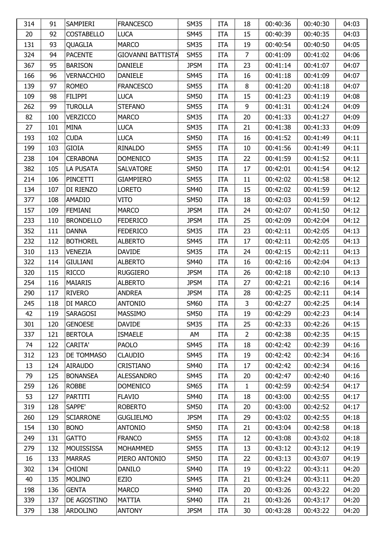| 314 | 91  | SAMPIERI          | <b>FRANCESCO</b>  | <b>SM35</b> | <b>ITA</b> | 18             | 00:40:36 | 00:40:30 | 04:03 |
|-----|-----|-------------------|-------------------|-------------|------------|----------------|----------|----------|-------|
| 20  | 92  | <b>COSTABELLO</b> | <b>LUCA</b>       | <b>SM45</b> | <b>ITA</b> | 15             | 00:40:39 | 00:40:35 | 04:03 |
| 131 | 93  | <b>QUAGLIA</b>    | <b>MARCO</b>      | <b>SM35</b> | <b>ITA</b> | 19             | 00:40:54 | 00:40:50 | 04:05 |
| 324 | 94  | <b>PACENTE</b>    | GIOVANNI BATTISTA | <b>SM55</b> | <b>ITA</b> | $\overline{7}$ | 00:41:09 | 00:41:02 | 04:06 |
| 367 | 95  | <b>BARISON</b>    | <b>DANIELE</b>    | <b>JPSM</b> | <b>ITA</b> | 23             | 00:41:14 | 00:41:07 | 04:07 |
| 166 | 96  | VERNACCHIO        | <b>DANIELE</b>    | <b>SM45</b> | <b>ITA</b> | 16             | 00:41:18 | 00:41:09 | 04:07 |
| 139 | 97  | <b>ROMEO</b>      | <b>FRANCESCO</b>  | <b>SM55</b> | <b>ITA</b> | 8              | 00:41:20 | 00:41:18 | 04:07 |
| 109 | 98  | <b>FILIPPI</b>    | <b>LUCA</b>       | <b>SM50</b> | <b>ITA</b> | 15             | 00:41:23 | 00:41:19 | 04:08 |
| 262 | 99  | <b>TUROLLA</b>    | <b>STEFANO</b>    | <b>SM55</b> | <b>ITA</b> | 9              | 00:41:31 | 00:41:24 | 04:09 |
| 82  | 100 | <b>VERZICCO</b>   | <b>MARCO</b>      | <b>SM35</b> | <b>ITA</b> | 20             | 00:41:33 | 00:41:27 | 04:09 |
| 27  | 101 | MINA              | <b>LUCA</b>       | <b>SM35</b> | <b>ITA</b> | 21             | 00:41:38 | 00:41:33 | 04:09 |
| 193 | 102 | <b>CUDA</b>       | <b>LUCA</b>       | <b>SM50</b> | <b>ITA</b> | 16             | 00:41:52 | 00:41:49 | 04:11 |
| 199 | 103 | <b>GIOIA</b>      | RINALDO           | <b>SM55</b> | <b>ITA</b> | 10             | 00:41:56 | 00:41:49 | 04:11 |
| 238 | 104 | <b>CERABONA</b>   | <b>DOMENICO</b>   | <b>SM35</b> | <b>ITA</b> | 22             | 00:41:59 | 00:41:52 | 04:11 |
| 382 | 105 | LA PUSATA         | <b>SALVATORE</b>  | <b>SM50</b> | <b>ITA</b> | 17             | 00:42:01 | 00:41:54 | 04:12 |
| 214 | 106 | PINCETTI          | <b>GIAMPIERO</b>  | <b>SM55</b> | <b>ITA</b> | 11             | 00:42:02 | 00:41:58 | 04:12 |
| 134 | 107 | DI RIENZO         | <b>LORETO</b>     | <b>SM40</b> | <b>ITA</b> | 15             | 00:42:02 | 00:41:59 | 04:12 |
| 377 | 108 | <b>AMADIO</b>     | VITO              | <b>SM50</b> | <b>ITA</b> | 18             | 00:42:03 | 00:41:59 | 04:12 |
| 157 | 109 | <b>FEMIANI</b>    | <b>MARCO</b>      | <b>JPSM</b> | <b>ITA</b> | 24             | 00:42:07 | 00:41:50 | 04:12 |
| 233 | 110 | <b>BRONDELLO</b>  | <b>FEDERICO</b>   | <b>JPSM</b> | <b>ITA</b> | 25             | 00:42:09 | 00:42:04 | 04:12 |
| 352 | 111 | <b>DANNA</b>      | <b>FEDERICO</b>   | <b>SM35</b> | <b>ITA</b> | 23             | 00:42:11 | 00:42:05 | 04:13 |
| 232 | 112 | <b>BOTHOREL</b>   | <b>ALBERTO</b>    | <b>SM45</b> | <b>ITA</b> | 17             | 00:42:11 | 00:42:05 | 04:13 |
| 310 | 113 | <b>VENEZIA</b>    | <b>DAVIDE</b>     | <b>SM35</b> | <b>ITA</b> | 24             | 00:42:15 | 00:42:11 | 04:13 |
| 322 | 114 | <b>GIULIANI</b>   | <b>ALBERTO</b>    | <b>SM40</b> | <b>ITA</b> | 16             | 00:42:16 | 00:42:04 | 04:13 |
| 320 | 115 | <b>RICCO</b>      | <b>RUGGIERO</b>   | <b>JPSM</b> | <b>ITA</b> | 26             | 00:42:18 | 00:42:10 | 04:13 |
| 254 | 116 | <b>MAIARIS</b>    | <b>ALBERTO</b>    | <b>JPSM</b> | <b>ITA</b> | 27             | 00:42:21 | 00:42:16 | 04:14 |
| 290 | 117 | <b>RIVERO</b>     | <b>ANDREA</b>     | <b>JPSM</b> | <b>ITA</b> | 28             | 00:42:25 | 00:42:11 | 04:14 |
| 245 | 118 | DI MARCO          | <b>ANTONIO</b>    | <b>SM60</b> | <b>ITA</b> | 3              | 00:42:27 | 00:42:25 | 04:14 |
| 42  | 119 | SARAGOSI          | <b>MASSIMO</b>    | <b>SM50</b> | <b>ITA</b> | 19             | 00:42:29 | 00:42:23 | 04:14 |
| 301 | 120 | <b>GENOESE</b>    | <b>DAVIDE</b>     | <b>SM35</b> | <b>ITA</b> | 25             | 00:42:33 | 00:42:26 | 04:15 |
| 337 | 121 | <b>BERTOLA</b>    | <b>ISMAELE</b>    | AM          | <b>ITA</b> | $\overline{2}$ | 00:42:38 | 00:42:35 | 04:15 |
| 74  | 122 | <b>CARITA'</b>    | <b>PAOLO</b>      | <b>SM45</b> | <b>ITA</b> | 18             | 00:42:42 | 00:42:39 | 04:16 |
| 312 | 123 | DE TOMMASO        | <b>CLAUDIO</b>    | <b>SM45</b> | <b>ITA</b> | 19             | 00:42:42 | 00:42:34 | 04:16 |
| 13  | 124 | <b>AIRAUDO</b>    | <b>CRISTIANO</b>  | <b>SM40</b> | <b>ITA</b> | 17             | 00:42:42 | 00:42:34 | 04:16 |
| 79  | 125 | <b>BONANSEA</b>   | <b>ALESSANDRO</b> | <b>SM45</b> | <b>ITA</b> | 20             | 00:42:47 | 00:42:40 | 04:16 |
| 259 | 126 | <b>ROBBE</b>      | <b>DOMENICO</b>   | <b>SM65</b> | <b>ITA</b> | $\mathbf{1}$   | 00:42:59 | 00:42:54 | 04:17 |
| 53  | 127 | PARTITI           | <b>FLAVIO</b>     | <b>SM40</b> | <b>ITA</b> | 18             | 00:43:00 | 00:42:55 | 04:17 |
| 319 | 128 | SAPPE'            | <b>ROBERTO</b>    | <b>SM50</b> | <b>ITA</b> | 20             | 00:43:00 | 00:42:52 | 04:17 |
| 260 | 129 | <b>SCIARRONE</b>  | <b>GUGLIELMO</b>  | <b>JPSM</b> | <b>ITA</b> | 29             | 00:43:02 | 00:42:55 | 04:18 |
| 154 | 130 | <b>BONO</b>       | <b>ANTONIO</b>    | <b>SM50</b> | <b>ITA</b> | 21             | 00:43:04 | 00:42:58 | 04:18 |
| 249 | 131 | <b>GATTO</b>      | <b>FRANCO</b>     | <b>SM55</b> | <b>ITA</b> | 12             | 00:43:08 | 00:43:02 | 04:18 |
| 279 | 132 | <b>MOUISSISSA</b> | <b>MOHAMMED</b>   | <b>SM55</b> | <b>ITA</b> | 13             | 00:43:12 | 00:43:12 | 04:19 |
| 16  | 133 | <b>MARRAS</b>     | PIERO ANTONIO     | <b>SM50</b> | <b>ITA</b> | 22             | 00:43:13 | 00:43:07 | 04:19 |
| 302 | 134 | <b>CHIONI</b>     | <b>DANILO</b>     | <b>SM40</b> | <b>ITA</b> | 19             | 00:43:22 | 00:43:11 | 04:20 |
| 40  | 135 | <b>MOLINO</b>     | EZIO              | <b>SM45</b> | <b>ITA</b> | 21             | 00:43:24 | 00:43:11 | 04:20 |
| 198 | 136 | <b>GENTA</b>      | <b>MARCO</b>      | <b>SM40</b> | <b>ITA</b> | 20             | 00:43:26 | 00:43:22 | 04:20 |
| 339 | 137 | DE AGOSTINO       | <b>MATTIA</b>     | <b>SM40</b> | <b>ITA</b> | 21             | 00:43:26 | 00:43:17 | 04:20 |
| 379 | 138 | <b>ARDOLINO</b>   | <b>ANTONY</b>     | <b>JPSM</b> | <b>ITA</b> | 30             | 00:43:28 | 00:43:22 | 04:20 |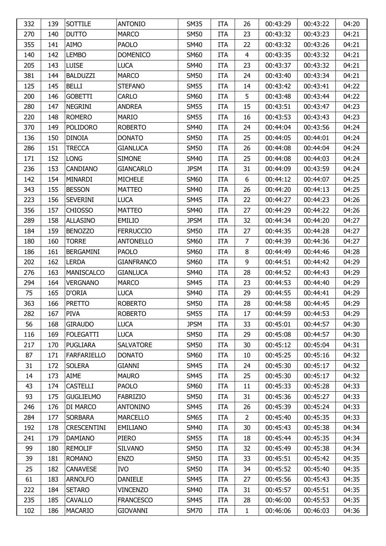| 332 | 139 | SOTTILE            | <b>ANTONIO</b>    | <b>SM35</b> | <b>ITA</b> | 26             | 00:43:29 | 00:43:22 | 04:20 |
|-----|-----|--------------------|-------------------|-------------|------------|----------------|----------|----------|-------|
| 270 | 140 | <b>DUTTO</b>       | <b>MARCO</b>      | <b>SM50</b> | <b>ITA</b> | 23             | 00:43:32 | 00:43:23 | 04:21 |
| 355 | 141 | <b>AIMO</b>        | <b>PAOLO</b>      | <b>SM40</b> | <b>ITA</b> | 22             | 00:43:32 | 00:43:26 | 04:21 |
| 140 | 142 | <b>LEMBO</b>       | <b>DOMENICO</b>   | <b>SM60</b> | <b>ITA</b> | 4              | 00:43:35 | 00:43:32 | 04:21 |
| 205 | 143 | <b>LUISE</b>       | <b>LUCA</b>       | <b>SM40</b> | <b>ITA</b> | 23             | 00:43:37 | 00:43:32 | 04:21 |
| 381 | 144 | <b>BALDUZZI</b>    | <b>MARCO</b>      | <b>SM50</b> | <b>ITA</b> | 24             | 00:43:40 | 00:43:34 | 04:21 |
| 125 | 145 | <b>BELLI</b>       | <b>STEFANO</b>    | <b>SM55</b> | <b>ITA</b> | 14             | 00:43:42 | 00:43:41 | 04:22 |
| 200 | 146 | <b>GOBETTI</b>     | <b>CARLO</b>      | <b>SM60</b> | <b>ITA</b> | 5              | 00:43:48 | 00:43:44 | 04:22 |
| 280 | 147 | <b>NEGRINI</b>     | <b>ANDREA</b>     | <b>SM55</b> | <b>ITA</b> | 15             | 00:43:51 | 00:43:47 | 04:23 |
| 220 | 148 | <b>ROMERO</b>      | <b>MARIO</b>      | <b>SM55</b> | <b>ITA</b> | 16             | 00:43:53 | 00:43:43 | 04:23 |
| 370 | 149 | <b>POLIDORO</b>    | <b>ROBERTO</b>    | <b>SM40</b> | <b>ITA</b> | 24             | 00:44:04 | 00:43:56 | 04:24 |
| 136 | 150 | <b>DINOIA</b>      | <b>DONATO</b>     | <b>SM50</b> | <b>ITA</b> | 25             | 00:44:05 | 00:44:01 | 04:24 |
| 286 | 151 | <b>TRECCA</b>      | <b>GIANLUCA</b>   | <b>SM50</b> | <b>ITA</b> | 26             | 00:44:08 | 00:44:04 | 04:24 |
| 171 | 152 | <b>LONG</b>        | <b>SIMONE</b>     | <b>SM40</b> | <b>ITA</b> | 25             | 00:44:08 | 00:44:03 | 04:24 |
| 236 | 153 | CANDIANO           | <b>GIANCARLO</b>  | <b>JPSM</b> | <b>ITA</b> | 31             | 00:44:09 | 00:43:59 | 04:24 |
| 142 | 154 | MINARDI            | <b>MICHELE</b>    | <b>SM60</b> | <b>ITA</b> | 6              | 00:44:12 | 00:44:07 | 04:25 |
| 343 | 155 | <b>BESSON</b>      | <b>MATTEO</b>     | <b>SM40</b> | <b>ITA</b> | 26             | 00:44:20 | 00:44:13 | 04:25 |
| 223 | 156 | <b>SEVERINI</b>    | <b>LUCA</b>       | <b>SM45</b> | <b>ITA</b> | 22             | 00:44:27 | 00:44:23 | 04:26 |
| 356 | 157 | <b>CHIOSSO</b>     | <b>MATTEO</b>     | <b>SM40</b> | <b>ITA</b> | 27             | 00:44:29 | 00:44:22 | 04:26 |
| 289 | 158 | <b>ALLASINO</b>    | <b>EMILIO</b>     | <b>JPSM</b> | <b>ITA</b> | 32             | 00:44:34 | 00:44:20 | 04:27 |
| 184 | 159 | <b>BENOZZO</b>     | <b>FERRUCCIO</b>  | <b>SM50</b> | <b>ITA</b> | 27             | 00:44:35 | 00:44:28 | 04:27 |
| 180 | 160 | TORRE              | <b>ANTONELLO</b>  | <b>SM60</b> | <b>ITA</b> | 7              | 00:44:39 | 00:44:36 | 04:27 |
| 186 | 161 | <b>BERGAMINI</b>   | <b>PAOLO</b>      | <b>SM60</b> | <b>ITA</b> | 8              | 00:44:49 | 00:44:46 | 04:28 |
| 202 | 162 | <b>LERDA</b>       | <b>GIANFRANCO</b> | <b>SM60</b> | <b>ITA</b> | 9              | 00:44:51 | 00:44:42 | 04:29 |
| 276 | 163 | <b>MANISCALCO</b>  | <b>GIANLUCA</b>   | <b>SM40</b> | <b>ITA</b> | 28             | 00:44:52 | 00:44:43 | 04:29 |
| 294 | 164 | <b>VERGNANO</b>    | <b>MARCO</b>      | <b>SM45</b> | <b>ITA</b> | 23             | 00:44:53 | 00:44:40 | 04:29 |
| 75  | 165 | D'ORIA             | <b>LUCA</b>       | <b>SM40</b> | <b>ITA</b> | 29             | 00:44:55 | 00:44:41 | 04:29 |
| 363 | 166 | <b>PRETTO</b>      | <b>ROBERTO</b>    | <b>SM50</b> | <b>ITA</b> | 28             | 00:44:58 | 00:44:45 | 04:29 |
| 282 | 167 | <b>PIVA</b>        | <b>ROBERTO</b>    | <b>SM55</b> | <b>ITA</b> | 17             | 00:44:59 | 00:44:53 | 04:29 |
| 56  | 168 | <b>GIRAUDO</b>     | <b>LUCA</b>       | <b>JPSM</b> | <b>ITA</b> | 33             | 00:45:01 | 00:44:57 | 04:30 |
| 116 | 169 | <b>FOLEGATTI</b>   | <b>LUCA</b>       | <b>SM50</b> | <b>ITA</b> | 29             | 00:45:08 | 00:44:57 | 04:30 |
| 217 | 170 | <b>PUGLIARA</b>    | <b>SALVATORE</b>  | <b>SM50</b> | <b>ITA</b> | 30             | 00:45:12 | 00:45:04 | 04:31 |
| 87  | 171 | <b>FARFARIELLO</b> | <b>DONATO</b>     | <b>SM60</b> | <b>ITA</b> | 10             | 00:45:25 | 00:45:16 | 04:32 |
| 31  | 172 | <b>SOLERA</b>      | <b>GIANNI</b>     | <b>SM45</b> | <b>ITA</b> | 24             | 00:45:30 | 00:45:17 | 04:32 |
| 14  | 173 | <b>AIME</b>        | <b>MAURO</b>      | <b>SM45</b> | <b>ITA</b> | 25             | 00:45:30 | 00:45:17 | 04:32 |
| 43  | 174 | <b>CASTELLI</b>    | <b>PAOLO</b>      | <b>SM60</b> | <b>ITA</b> | 11             | 00:45:33 | 00:45:28 | 04:33 |
| 93  | 175 | <b>GUGLIELMO</b>   | <b>FABRIZIO</b>   | <b>SM50</b> | <b>ITA</b> | 31             | 00:45:36 | 00:45:27 | 04:33 |
| 246 | 176 | DI MARCO           | <b>ANTONINO</b>   | <b>SM45</b> | <b>ITA</b> | 26             | 00:45:39 | 00:45:24 | 04:33 |
| 284 | 177 | <b>SORBARA</b>     | <b>MARCELLO</b>   | <b>SM65</b> | <b>ITA</b> | $\overline{2}$ | 00:45:40 | 00:45:35 | 04:33 |
| 192 | 178 | <b>CRESCENTINI</b> | <b>EMILIANO</b>   | <b>SM40</b> | <b>ITA</b> | 30             | 00:45:43 | 00:45:38 | 04:34 |
| 241 | 179 | <b>DAMIANO</b>     | PIERO             | <b>SM55</b> | <b>ITA</b> | 18             | 00:45:44 | 00:45:35 | 04:34 |
| 99  | 180 | <b>REMOLIF</b>     | <b>SILVANO</b>    | <b>SM50</b> | <b>ITA</b> | 32             | 00:45:49 | 00:45:38 | 04:34 |
| 39  | 181 | <b>ROMANO</b>      | <b>ENZO</b>       | <b>SM50</b> | <b>ITA</b> | 33             | 00:45:51 | 00:45:42 | 04:35 |
| 25  | 182 | <b>CANAVESE</b>    | <b>IVO</b>        | <b>SM50</b> | <b>ITA</b> | 34             | 00:45:52 | 00:45:40 | 04:35 |
| 61  | 183 | <b>ARNOLFO</b>     | <b>DANIELE</b>    | <b>SM45</b> | <b>ITA</b> | 27             | 00:45:56 | 00:45:43 | 04:35 |
| 222 | 184 | <b>SETARO</b>      | <b>VINCENZO</b>   | <b>SM40</b> | <b>ITA</b> | 31             | 00:45:57 | 00:45:51 | 04:35 |
| 235 | 185 | <b>CAVALLO</b>     | <b>FRANCESCO</b>  | <b>SM45</b> | <b>ITA</b> | 28             | 00:46:00 | 00:45:53 | 04:35 |
| 102 | 186 | MACARIO            | <b>GIOVANNI</b>   | <b>SM70</b> | <b>ITA</b> | $\mathbf{1}$   | 00:46:06 | 00:46:03 | 04:36 |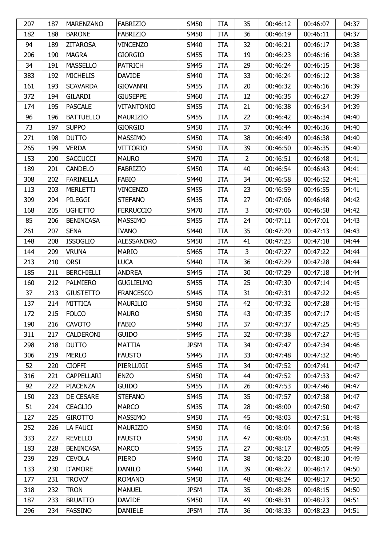| 207 | 187 | <b>MARENZANO</b>  | <b>FABRIZIO</b>   | <b>SM50</b> | <b>ITA</b> | 35             | 00:46:12 | 00:46:07 | 04:37 |
|-----|-----|-------------------|-------------------|-------------|------------|----------------|----------|----------|-------|
| 182 | 188 | <b>BARONE</b>     | <b>FABRIZIO</b>   | <b>SM50</b> | <b>ITA</b> | 36             | 00:46:19 | 00:46:11 | 04:37 |
| 94  | 189 | <b>ZITAROSA</b>   | <b>VINCENZO</b>   | <b>SM40</b> | <b>ITA</b> | 32             | 00:46:21 | 00:46:17 | 04:38 |
| 206 | 190 | <b>MAGRA</b>      | <b>GIORGIO</b>    | <b>SM55</b> | <b>ITA</b> | 19             | 00:46:23 | 00:46:16 | 04:38 |
| 34  | 191 | <b>MASSELLO</b>   | <b>PATRICH</b>    | <b>SM45</b> | <b>ITA</b> | 29             | 00:46:24 | 00:46:15 | 04:38 |
| 383 | 192 | <b>MICHELIS</b>   | <b>DAVIDE</b>     | <b>SM40</b> | <b>ITA</b> | 33             | 00:46:24 | 00:46:12 | 04:38 |
| 161 | 193 | <b>SCAVARDA</b>   | <b>GIOVANNI</b>   | <b>SM55</b> | <b>ITA</b> | 20             | 00:46:32 | 00:46:16 | 04:39 |
| 372 | 194 | <b>GILARDI</b>    | <b>GIUSEPPE</b>   | <b>SM60</b> | <b>ITA</b> | 12             | 00:46:35 | 00:46:27 | 04:39 |
| 174 | 195 | <b>PASCALE</b>    | VITANTONIO        | <b>SM55</b> | <b>ITA</b> | 21             | 00:46:38 | 00:46:34 | 04:39 |
| 96  | 196 | <b>BATTUELLO</b>  | <b>MAURIZIO</b>   | <b>SM55</b> | <b>ITA</b> | 22             | 00:46:42 | 00:46:34 | 04:40 |
| 73  | 197 | <b>SUPPO</b>      | <b>GIORGIO</b>    | <b>SM50</b> | <b>ITA</b> | 37             | 00:46:44 | 00:46:36 | 04:40 |
| 271 | 198 | <b>DUTTO</b>      | <b>MASSIMO</b>    | <b>SM50</b> | <b>ITA</b> | 38             | 00:46:49 | 00:46:38 | 04:40 |
| 265 | 199 | <b>VERDA</b>      | VITTORIO          | <b>SM50</b> | <b>ITA</b> | 39             | 00:46:50 | 00:46:35 | 04:40 |
| 153 | 200 | <b>SACCUCCI</b>   | <b>MAURO</b>      | <b>SM70</b> | <b>ITA</b> | $\overline{2}$ | 00:46:51 | 00:46:48 | 04:41 |
| 189 | 201 | <b>CANDELO</b>    | <b>FABRIZIO</b>   | <b>SM50</b> | <b>ITA</b> | 40             | 00:46:54 | 00:46:43 | 04:41 |
| 308 | 202 | <b>FARINELLA</b>  | <b>FABIO</b>      | <b>SM40</b> | <b>ITA</b> | 34             | 00:46:58 | 00:46:52 | 04:41 |
| 113 | 203 | <b>MERLETTI</b>   | <b>VINCENZO</b>   | <b>SM55</b> | <b>ITA</b> | 23             | 00:46:59 | 00:46:55 | 04:41 |
| 309 | 204 | PILEGGI           | <b>STEFANO</b>    | <b>SM35</b> | <b>ITA</b> | 27             | 00:47:06 | 00:46:48 | 04:42 |
| 168 | 205 | <b>UGHETTO</b>    | <b>FERRUCCIO</b>  | <b>SM70</b> | <b>ITA</b> | 3              | 00:47:06 | 00:46:58 | 04:42 |
| 85  | 206 | <b>BENINCASA</b>  | <b>MASSIMO</b>    | <b>SM55</b> | <b>ITA</b> | 24             | 00:47:11 | 00:47:01 | 04:43 |
| 261 | 207 | <b>SENA</b>       | <b>IVANO</b>      | <b>SM40</b> | <b>ITA</b> | 35             | 00:47:20 | 00:47:13 | 04:43 |
| 148 | 208 | <b>ISSOGLIO</b>   | <b>ALESSANDRO</b> | <b>SM50</b> | <b>ITA</b> | 41             | 00:47:23 | 00:47:18 | 04:44 |
| 144 | 209 | <b>VRUNA</b>      | <b>MARIO</b>      | <b>SM65</b> | <b>ITA</b> | 3              | 00:47:27 | 00:47:22 | 04:44 |
| 213 | 210 | <b>ORSI</b>       | <b>LUCA</b>       | <b>SM40</b> | <b>ITA</b> | 36             | 00:47:29 | 00:47:28 | 04:44 |
| 185 | 211 | <b>BERCHIELLI</b> | <b>ANDREA</b>     | <b>SM45</b> | <b>ITA</b> | 30             | 00:47:29 | 00:47:18 | 04:44 |
| 160 | 212 | <b>PALMIERO</b>   | <b>GUGLIELMO</b>  | <b>SM55</b> | <b>ITA</b> | 25             | 00:47:30 | 00:47:14 | 04:45 |
| 37  | 213 | <b>GIUSTETTO</b>  | <b>FRANCESCO</b>  | <b>SM45</b> | <b>ITA</b> | 31             | 00:47:31 | 00:47:22 | 04:45 |
| 137 | 214 | <b>MITTICA</b>    | <b>MAURILIO</b>   | <b>SM50</b> | <b>ITA</b> | 42             | 00:47:32 | 00:47:28 | 04:45 |
| 172 | 215 | FOLCO             | <b>MAURO</b>      | <b>SM50</b> | <b>ITA</b> | 43             | 00:47:35 | 00:47:17 | 04:45 |
| 190 | 216 | <b>CAVOTO</b>     | <b>FABIO</b>      | <b>SM40</b> | <b>ITA</b> | 37             | 00:47:37 | 00:47:25 | 04:45 |
| 311 | 217 | CALDERONI         | <b>GUIDO</b>      | <b>SM45</b> | <b>ITA</b> | 32             | 00:47:38 | 00:47:27 | 04:45 |
| 298 | 218 | <b>DUTTO</b>      | <b>MATTIA</b>     | <b>JPSM</b> | <b>ITA</b> | 34             | 00:47:47 | 00:47:34 | 04:46 |
| 306 | 219 | <b>MERLO</b>      | <b>FAUSTO</b>     | <b>SM45</b> | <b>ITA</b> | 33             | 00:47:48 | 00:47:32 | 04:46 |
| 52  | 220 | <b>CIOFFI</b>     | PIERLUIGI         | <b>SM45</b> | <b>ITA</b> | 34             | 00:47:52 | 00:47:41 | 04:47 |
| 316 | 221 | CAPPELLARI        | <b>ENZO</b>       | <b>SM50</b> | <b>ITA</b> | 44             | 00:47:52 | 00:47:33 | 04:47 |
| 92  | 222 | <b>PIACENZA</b>   | <b>GUIDO</b>      | <b>SM55</b> | <b>ITA</b> | 26             | 00:47:53 | 00:47:46 | 04:47 |
| 150 | 223 | DE CESARE         | <b>STEFANO</b>    | <b>SM45</b> | <b>ITA</b> | 35             | 00:47:57 | 00:47:38 | 04:47 |
| 51  | 224 | <b>CEAGLIO</b>    | <b>MARCO</b>      | <b>SM35</b> | <b>ITA</b> | 28             | 00:48:00 | 00:47:50 | 04:47 |
| 127 | 225 | <b>GIROTTO</b>    | <b>MASSIMO</b>    | <b>SM50</b> | <b>ITA</b> | 45             | 00:48:03 | 00:47:51 | 04:48 |
| 252 | 226 | LA FAUCI          | <b>MAURIZIO</b>   | <b>SM50</b> | <b>ITA</b> | 46             | 00:48:04 | 00:47:56 | 04:48 |
| 333 | 227 | <b>REVELLO</b>    | <b>FAUSTO</b>     | <b>SM50</b> | <b>ITA</b> | 47             | 00:48:06 | 00:47:51 | 04:48 |
| 183 | 228 | <b>BENINCASA</b>  | <b>MARCO</b>      | <b>SM55</b> | <b>ITA</b> | 27             | 00:48:17 | 00:48:05 | 04:49 |
| 239 | 229 | <b>CEVOLA</b>     | <b>PIERO</b>      | <b>SM40</b> | <b>ITA</b> | 38             | 00:48:20 | 00:48:10 | 04:49 |
| 133 | 230 | <b>D'AMORE</b>    | <b>DANILO</b>     | <b>SM40</b> | <b>ITA</b> | 39             | 00:48:22 | 00:48:17 | 04:50 |
| 177 | 231 | TROVO'            | <b>ROMANO</b>     | <b>SM50</b> | <b>ITA</b> | 48             | 00:48:24 | 00:48:17 | 04:50 |
| 318 | 232 | <b>TRON</b>       | <b>MANUEL</b>     | <b>JPSM</b> | <b>ITA</b> | 35             | 00:48:28 | 00:48:15 | 04:50 |
| 187 | 233 | <b>BRUATTO</b>    | <b>DAVIDE</b>     | <b>SM50</b> | <b>ITA</b> | 49             | 00:48:31 | 00:48:23 | 04:51 |
| 296 | 234 | <b>FASSINO</b>    | <b>DANIELE</b>    | <b>JPSM</b> | <b>ITA</b> | 36             | 00:48:33 | 00:48:23 | 04:51 |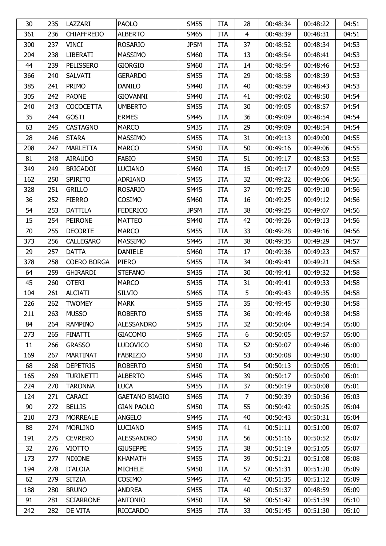| 30  | 235 | LAZZARI            | <b>PAOLO</b>          | <b>SM55</b> | ITA        | 28             | 00:48:34 | 00:48:22 | 04:51 |
|-----|-----|--------------------|-----------------------|-------------|------------|----------------|----------|----------|-------|
| 361 | 236 | <b>CHIAFFREDO</b>  | <b>ALBERTO</b>        | <b>SM65</b> | <b>ITA</b> | $\overline{4}$ | 00:48:39 | 00:48:31 | 04:51 |
| 300 | 237 | <b>VINCI</b>       | <b>ROSARIO</b>        | <b>JPSM</b> | <b>ITA</b> | 37             | 00:48:52 | 00:48:34 | 04:53 |
| 204 | 238 | <b>LIBERATI</b>    | <b>MASSIMO</b>        | <b>SM60</b> | <b>ITA</b> | 13             | 00:48:54 | 00:48:41 | 04:53 |
| 44  | 239 | PELISSERO          | <b>GIORGIO</b>        | <b>SM60</b> | <b>ITA</b> | 14             | 00:48:54 | 00:48:46 | 04:53 |
| 366 | 240 | <b>SALVATI</b>     | <b>GERARDO</b>        | <b>SM55</b> | <b>ITA</b> | 29             | 00:48:58 | 00:48:39 | 04:53 |
| 385 | 241 | <b>PRIMO</b>       | <b>DANILO</b>         | <b>SM40</b> | <b>ITA</b> | 40             | 00:48:59 | 00:48:43 | 04:53 |
| 305 | 242 | <b>PAONE</b>       | <b>GIOVANNI</b>       | <b>SM40</b> | <b>ITA</b> | 41             | 00:49:02 | 00:48:50 | 04:54 |
| 240 | 243 | <b>COCOCETTA</b>   | <b>UMBERTO</b>        | <b>SM55</b> | <b>ITA</b> | 30             | 00:49:05 | 00:48:57 | 04:54 |
| 35  | 244 | <b>GOSTI</b>       | <b>ERMES</b>          | <b>SM45</b> | <b>ITA</b> | 36             | 00:49:09 | 00:48:54 | 04:54 |
| 63  | 245 | <b>CASTAGNO</b>    | <b>MARCO</b>          | <b>SM35</b> | <b>ITA</b> | 29             | 00:49:09 | 00:48:54 | 04:54 |
| 28  | 246 | <b>STARA</b>       | <b>MASSIMO</b>        | <b>SM55</b> | <b>ITA</b> | 31             | 00:49:13 | 00:49:00 | 04:55 |
| 208 | 247 | <b>MARLETTA</b>    | <b>MARCO</b>          | <b>SM50</b> | <b>ITA</b> | 50             | 00:49:16 | 00:49:06 | 04:55 |
| 81  | 248 | <b>AIRAUDO</b>     | <b>FABIO</b>          | <b>SM50</b> | <b>ITA</b> | 51             | 00:49:17 | 00:48:53 | 04:55 |
| 349 | 249 | <b>BRIGADOI</b>    | <b>LUCIANO</b>        | <b>SM60</b> | <b>ITA</b> | 15             | 00:49:17 | 00:49:09 | 04:55 |
| 162 | 250 | <b>SPIRITO</b>     | <b>ADRIANO</b>        | <b>SM55</b> | <b>ITA</b> | 32             | 00:49:22 | 00:49:06 | 04:56 |
| 328 | 251 | <b>GRILLO</b>      | <b>ROSARIO</b>        | <b>SM45</b> | <b>ITA</b> | 37             | 00:49:25 | 00:49:10 | 04:56 |
| 36  | 252 | <b>FIERRO</b>      | COSIMO                | <b>SM60</b> | <b>ITA</b> | 16             | 00:49:25 | 00:49:12 | 04:56 |
| 54  | 253 | <b>DATTILA</b>     | <b>FEDERICO</b>       | <b>JPSM</b> | <b>ITA</b> | 38             | 00:49:25 | 00:49:07 | 04:56 |
| 15  | 254 | <b>PEIRONE</b>     | <b>MATTEO</b>         | <b>SM40</b> | <b>ITA</b> | 42             | 00:49:26 | 00:49:13 | 04:56 |
| 70  | 255 | <b>DECORTE</b>     | <b>MARCO</b>          | <b>SM55</b> | <b>ITA</b> | 33             | 00:49:28 | 00:49:16 | 04:56 |
| 373 | 256 | <b>CALLEGARO</b>   | <b>MASSIMO</b>        | <b>SM45</b> | <b>ITA</b> | 38             | 00:49:35 | 00:49:29 | 04:57 |
| 29  | 257 | <b>DATTA</b>       | <b>DANIELE</b>        | <b>SM60</b> | <b>ITA</b> | 17             | 00:49:36 | 00:49:23 | 04:57 |
| 378 | 258 | <b>COERO BORGA</b> | <b>PIERO</b>          | <b>SM55</b> | <b>ITA</b> | 34             | 00:49:41 | 00:49:21 | 04:58 |
| 64  | 259 | <b>GHIRARDI</b>    | <b>STEFANO</b>        | <b>SM35</b> | <b>ITA</b> | 30             | 00:49:41 | 00:49:32 | 04:58 |
| 45  | 260 | <b>OTERI</b>       | <b>MARCO</b>          | <b>SM35</b> | <b>ITA</b> | 31             | 00:49:41 | 00:49:33 | 04:58 |
| 104 | 261 | <b>ALCIATI</b>     | <b>SILVIO</b>         | <b>SM65</b> | <b>ITA</b> | 5              | 00:49:43 | 00:49:35 | 04:58 |
| 226 | 262 | <b>TWOMEY</b>      | <b>MARK</b>           | <b>SM55</b> | <b>ITA</b> | 35             | 00:49:45 | 00:49:30 | 04:58 |
| 211 | 263 | <b>MUSSO</b>       | <b>ROBERTO</b>        | <b>SM55</b> | <b>ITA</b> | 36             | 00:49:46 | 00:49:38 | 04:58 |
| 84  | 264 | <b>RAMPINO</b>     | <b>ALESSANDRO</b>     | <b>SM35</b> | <b>ITA</b> | 32             | 00:50:04 | 00:49:54 | 05:00 |
| 273 | 265 | <b>FINATTI</b>     | <b>GIACOMO</b>        | <b>SM65</b> | <b>ITA</b> | 6              | 00:50:05 | 00:49:57 | 05:00 |
| 11  | 266 | <b>GRASSO</b>      | <b>LUDOVICO</b>       | <b>SM50</b> | <b>ITA</b> | 52             | 00:50:07 | 00:49:46 | 05:00 |
| 169 | 267 | <b>MARTINAT</b>    | <b>FABRIZIO</b>       | <b>SM50</b> | <b>ITA</b> | 53             | 00:50:08 | 00:49:50 | 05:00 |
| 68  | 268 | <b>DEPETRIS</b>    | <b>ROBERTO</b>        | <b>SM50</b> | <b>ITA</b> | 54             | 00:50:13 | 00:50:05 | 05:01 |
| 165 | 269 | <b>TURINETTI</b>   | <b>ALBERTO</b>        | <b>SM45</b> | <b>ITA</b> | 39             | 00:50:17 | 00:50:00 | 05:01 |
| 224 | 270 | <b>TARONNA</b>     | <b>LUCA</b>           | <b>SM55</b> | <b>ITA</b> | 37             | 00:50:19 | 00:50:08 | 05:01 |
| 124 | 271 | CARACI             | <b>GAETANO BIAGIO</b> | <b>SM65</b> | <b>ITA</b> | $\overline{7}$ | 00:50:39 | 00:50:36 | 05:03 |
| 90  | 272 | <b>BELLIS</b>      | <b>GIAN PAOLO</b>     | <b>SM50</b> | <b>ITA</b> | 55             | 00:50:42 | 00:50:25 | 05:04 |
| 210 | 273 | <b>MORREALE</b>    | <b>ANGELO</b>         | <b>SM45</b> | <b>ITA</b> | 40             | 00:50:43 | 00:50:31 | 05:04 |
| 88  | 274 | <b>MORLINO</b>     | <b>LUCIANO</b>        | <b>SM45</b> | <b>ITA</b> | 41             | 00:51:11 | 00:51:00 | 05:07 |
| 191 | 275 | <b>CEVRERO</b>     | ALESSANDRO            | <b>SM50</b> | <b>ITA</b> | 56             | 00:51:16 | 00:50:52 | 05:07 |
| 32  | 276 | VIOTTO             | <b>GIUSEPPE</b>       | <b>SM55</b> | ITA        | 38             | 00:51:19 | 00:51:05 | 05:07 |
| 173 | 277 | <b>NDIONE</b>      | <b>KHAMATH</b>        | <b>SM55</b> | <b>ITA</b> | 39             | 00:51:21 | 00:51:08 | 05:08 |
| 194 | 278 | D'ALOIA            | <b>MICHELE</b>        | <b>SM50</b> | <b>ITA</b> | 57             | 00:51:31 | 00:51:20 | 05:09 |
| 62  | 279 | <b>SITZIA</b>      | <b>COSIMO</b>         | <b>SM45</b> | ITA        | 42             | 00:51:35 | 00:51:12 | 05:09 |
| 188 | 280 | <b>BRUNO</b>       | <b>ANDREA</b>         | <b>SM55</b> | <b>ITA</b> | 40             | 00:51:37 | 00:48:59 | 05:09 |
| 91  | 281 | <b>SCIARRONE</b>   | <b>ANTONIO</b>        | <b>SM50</b> | <b>ITA</b> | 58             | 00:51:42 | 00:51:39 | 05:10 |
|     |     |                    |                       |             |            |                |          |          |       |
| 242 | 282 | DE VITA            | <b>RICCARDO</b>       | <b>SM35</b> | ITA        | 33             | 00:51:45 | 00:51:30 | 05:10 |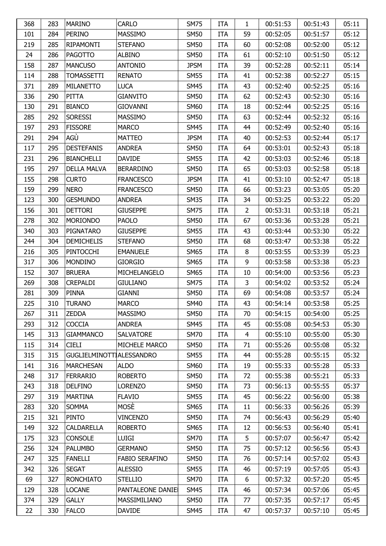| 368 | 283 | <b>MARINO</b>            | <b>CARLO</b>          | <b>SM75</b> | <b>ITA</b> | 1              | 00:51:53 | 00:51:43 | 05:11 |
|-----|-----|--------------------------|-----------------------|-------------|------------|----------------|----------|----------|-------|
| 101 | 284 | <b>PERINO</b>            | <b>MASSIMO</b>        | <b>SM50</b> | <b>ITA</b> | 59             | 00:52:05 | 00:51:57 | 05:12 |
| 219 | 285 | <b>RIPAMONTI</b>         | <b>STEFANO</b>        | <b>SM50</b> | <b>ITA</b> | 60             | 00:52:08 | 00:52:00 | 05:12 |
| 24  | 286 | <b>PAGOTTO</b>           | <b>ALBINO</b>         | <b>SM50</b> | <b>ITA</b> | 61             | 00:52:10 | 00:51:50 | 05:12 |
| 158 | 287 | <b>MANCUSO</b>           | <b>ANTONIO</b>        | <b>JPSM</b> | <b>ITA</b> | 39             | 00:52:28 | 00:52:11 | 05:14 |
| 114 | 288 | <b>TOMASSETTI</b>        | <b>RENATO</b>         | <b>SM55</b> | <b>ITA</b> | 41             | 00:52:38 | 00:52:27 | 05:15 |
| 371 | 289 | <b>MILANETTO</b>         | <b>LUCA</b>           | <b>SM45</b> | <b>ITA</b> | 43             | 00:52:40 | 00:52:25 | 05:16 |
| 336 | 290 | PITTA                    | <b>GIANVITO</b>       | <b>SM50</b> | <b>ITA</b> | 62             | 00:52:43 | 00:52:30 | 05:16 |
| 130 | 291 | <b>BIANCO</b>            | <b>GIOVANNI</b>       | <b>SM60</b> | <b>ITA</b> | 18             | 00:52:44 | 00:52:25 | 05:16 |
| 285 | 292 | <b>SORESSI</b>           | <b>MASSIMO</b>        | <b>SM50</b> | <b>ITA</b> | 63             | 00:52:44 | 00:52:32 | 05:16 |
| 197 | 293 | <b>FISSORE</b>           | <b>MARCO</b>          | <b>SM45</b> | <b>ITA</b> | 44             | 00:52:49 | 00:52:40 | 05:16 |
| 291 | 294 | AGÙ                      | <b>MATTEO</b>         | <b>JPSM</b> | <b>ITA</b> | 40             | 00:52:53 | 00:52:44 | 05:17 |
| 117 | 295 | <b>DESTEFANIS</b>        | <b>ANDREA</b>         | <b>SM50</b> | <b>ITA</b> | 64             | 00:53:01 | 00:52:43 | 05:18 |
| 231 | 296 | <b>BIANCHELLI</b>        | <b>DAVIDE</b>         | <b>SM55</b> | <b>ITA</b> | 42             | 00:53:03 | 00:52:46 | 05:18 |
| 195 | 297 | <b>DELLA MALVA</b>       | <b>BERARDINO</b>      | <b>SM50</b> | <b>ITA</b> | 65             | 00:53:03 | 00:52:58 | 05:18 |
| 155 | 298 | <b>CURTO</b>             | <b>FRANCESCO</b>      | <b>JPSM</b> | <b>ITA</b> | 41             | 00:53:10 | 00:52:47 | 05:18 |
| 159 | 299 | <b>NERO</b>              | <b>FRANCESCO</b>      | <b>SM50</b> | <b>ITA</b> | 66             | 00:53:23 | 00:53:05 | 05:20 |
| 123 | 300 | <b>GESMUNDO</b>          | <b>ANDREA</b>         | <b>SM35</b> | <b>ITA</b> | 34             | 00:53:25 | 00:53:22 | 05:20 |
| 156 | 301 | <b>DETTORI</b>           | <b>GIUSEPPE</b>       | <b>SM75</b> | <b>ITA</b> | 2              | 00:53:31 | 00:53:18 | 05:21 |
| 278 | 302 | <b>MORIONDO</b>          | <b>PAOLO</b>          | <b>SM50</b> | <b>ITA</b> | 67             | 00:53:36 | 00:53:28 | 05:21 |
| 340 | 303 | PIGNATARO                | <b>GIUSEPPE</b>       | <b>SM55</b> | <b>ITA</b> | 43             | 00:53:44 | 00:53:30 | 05:22 |
| 244 | 304 | <b>DEMICHELIS</b>        | <b>STEFANO</b>        | <b>SM50</b> | <b>ITA</b> | 68             | 00:53:47 | 00:53:38 | 05:22 |
| 216 | 305 | <b>PINTOCCHI</b>         | <b>EMANUELE</b>       | <b>SM65</b> | <b>ITA</b> | 8              | 00:53:55 | 00:53:39 | 05:23 |
| 317 | 306 | <b>MONDINO</b>           | <b>GIORGIO</b>        | <b>SM65</b> | <b>ITA</b> | 9              | 00:53:58 | 00:53:38 | 05:23 |
| 152 | 307 | <b>BRUERA</b>            | MICHELANGELO          | <b>SM65</b> | <b>ITA</b> | 10             | 00:54:00 | 00:53:56 | 05:23 |
| 269 | 308 | <b>CREPALDI</b>          | <b>GIULIANO</b>       | <b>SM75</b> | <b>ITA</b> | 3              | 00:54:02 | 00:53:52 | 05:24 |
| 281 | 309 | <b>PINNA</b>             | <b>GIANNI</b>         | <b>SM50</b> | <b>ITA</b> | 69             | 00:54:08 | 00:53:57 | 05:24 |
| 225 | 310 | <b>TURANO</b>            | <b>MARCO</b>          | <b>SM40</b> | <b>ITA</b> | 43             | 00:54:14 | 00:53:58 | 05:25 |
| 267 | 311 | <b>ZEDDA</b>             | <b>MASSIMO</b>        | <b>SM50</b> | <b>ITA</b> | 70             | 00:54:15 | 00:54:00 | 05:25 |
| 293 | 312 | <b>COCCIA</b>            | <b>ANDREA</b>         | <b>SM45</b> | <b>ITA</b> | 45             | 00:55:08 | 00:54:53 | 05:30 |
| 145 | 313 | <b>GIAMMANCO</b>         | <b>SALVATORE</b>      | <b>SM70</b> | <b>ITA</b> | $\overline{4}$ | 00:55:10 | 00:55:00 | 05:30 |
| 115 | 314 | <b>CIELI</b>             | MICHELE MARCO         | <b>SM50</b> | <b>ITA</b> | 71             | 00:55:26 | 00:55:08 | 05:32 |
| 315 | 315 | GUGLIELMINOTTIALESSANDRO |                       | <b>SM55</b> | <b>ITA</b> | 44             | 00:55:28 | 00:55:15 | 05:32 |
| 141 | 316 | <b>MARCHESAN</b>         | <b>ALDO</b>           | <b>SM60</b> | <b>ITA</b> | 19             | 00:55:33 | 00:55:28 | 05:33 |
| 248 | 317 | <b>FERRARIO</b>          | <b>ROBERTO</b>        | <b>SM50</b> | <b>ITA</b> | 72             | 00:55:38 | 00:55:21 | 05:33 |
| 243 | 318 | <b>DELFINO</b>           | <b>LORENZO</b>        | <b>SM50</b> | <b>ITA</b> | 73             | 00:56:13 | 00:55:55 | 05:37 |
| 297 | 319 | <b>MARTINA</b>           | <b>FLAVIO</b>         | <b>SM55</b> | <b>ITA</b> | 45             | 00:56:22 | 00:56:00 | 05:38 |
| 283 | 320 | <b>SOMMA</b>             | MOSÈ                  | <b>SM65</b> | <b>ITA</b> | 11             | 00:56:33 | 00:56:26 | 05:39 |
| 215 | 321 | <b>PINTO</b>             | <b>VINCENZO</b>       | <b>SM50</b> | <b>ITA</b> | 74             | 00:56:43 | 00:56:29 | 05:40 |
| 149 | 322 | <b>CALDARELLA</b>        | <b>ROBERTO</b>        | <b>SM65</b> | <b>ITA</b> | 12             | 00:56:53 | 00:56:40 | 05:41 |
| 175 | 323 | <b>CONSOLE</b>           | <b>LUIGI</b>          | <b>SM70</b> | <b>ITA</b> | 5              | 00:57:07 | 00:56:47 | 05:42 |
| 256 | 324 | <b>PALUMBO</b>           | <b>GERMANO</b>        | <b>SM50</b> | ITA        | 75             | 00:57:12 | 00:56:56 | 05:43 |
| 247 | 325 | <b>FANELLI</b>           | <b>FABIO SERAFINO</b> | <b>SM50</b> | <b>ITA</b> | 76             | 00:57:14 | 00:57:02 | 05:43 |
| 342 | 326 | <b>SEGAT</b>             | <b>ALESSIO</b>        | <b>SM55</b> | <b>ITA</b> | 46             | 00:57:19 | 00:57:05 | 05:43 |
| 69  | 327 | <b>RONCHIATO</b>         | <b>STELLIO</b>        | <b>SM70</b> | <b>ITA</b> | 6              | 00:57:32 | 00:57:20 | 05:45 |
| 129 | 328 | <b>LOCANE</b>            | PANTALEONE DANIE      | <b>SM45</b> | <b>ITA</b> | 46             | 00:57:34 | 00:57:06 | 05:45 |
| 374 | 329 | <b>GALLY</b>             | MASSIMILIANO          | <b>SM50</b> | <b>ITA</b> | 77             | 00:57:35 | 00:57:17 | 05:45 |
| 22  | 330 | <b>FALCO</b>             | <b>DAVIDE</b>         | <b>SM45</b> | <b>ITA</b> | 47             | 00:57:37 | 00:57:10 | 05:45 |
|     |     |                          |                       |             |            |                |          |          |       |